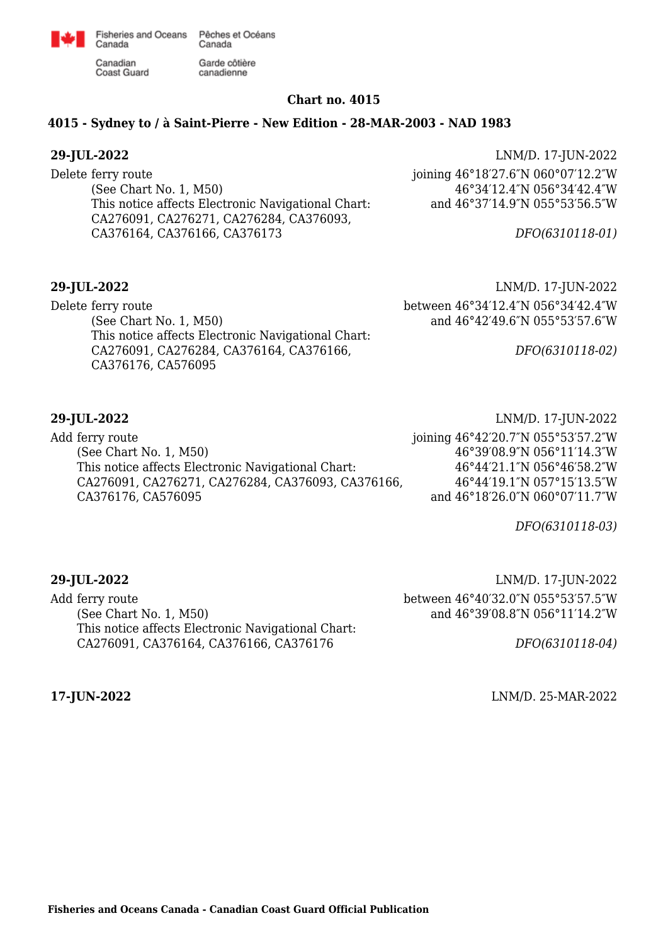

Garde côtière

canadienne

Canadian **Coast Guard** 

Canada

### **Chart no. 4015**

### **4015 - Sydney to / à Saint-Pierre - New Edition - 28-MAR-2003 - NAD 1983**

Delete ferry route (See Chart No. 1, M50) This notice affects Electronic Navigational Chart: CA276091, CA276271, CA276284, CA376093, CA376164, CA376166, CA376173

**29-JUL-2022** LNM/D. 17-JUN-2022 joining 46°18′27.6″N 060°07′12.2″W 46°34′12.4″N 056°34′42.4″W and 46°37′14.9″N 055°53′56.5″W

*DFO(6310118-01)*

Delete ferry route (See Chart No. 1, M50) This notice affects Electronic Navigational Chart: CA276091, CA276284, CA376164, CA376166, CA376176, CA576095

**29-JUL-2022** LNM/D. 17-JUN-2022 between 46°34′12.4″N 056°34′42.4″W and 46°42′49.6″N 055°53′57.6″W

*DFO(6310118-02)*

Add ferry route (See Chart No. 1, M50) This notice affects Electronic Navigational Chart: CA276091, CA276271, CA276284, CA376093, CA376166, CA376176, CA576095

**29-JUL-2022** LNM/D. 17-JUN-2022 joining 46°42′20.7″N 055°53′57.2″W 46°39′08.9″N 056°11′14.3″W 46°44′21.1″N 056°46′58.2″W 46°44′19.1″N 057°15′13.5″W and 46°18′26.0″N 060°07′11.7″W

*DFO(6310118-03)*

Add ferry route (See Chart No. 1, M50) This notice affects Electronic Navigational Chart: CA276091, CA376164, CA376166, CA376176

**29-JUL-2022** LNM/D. 17-JUN-2022 between 46°40′32.0″N 055°53′57.5″W and 46°39′08.8″N 056°11′14.2″W

*DFO(6310118-04)*

**17-JUN-2022** LNM/D. 25-MAR-2022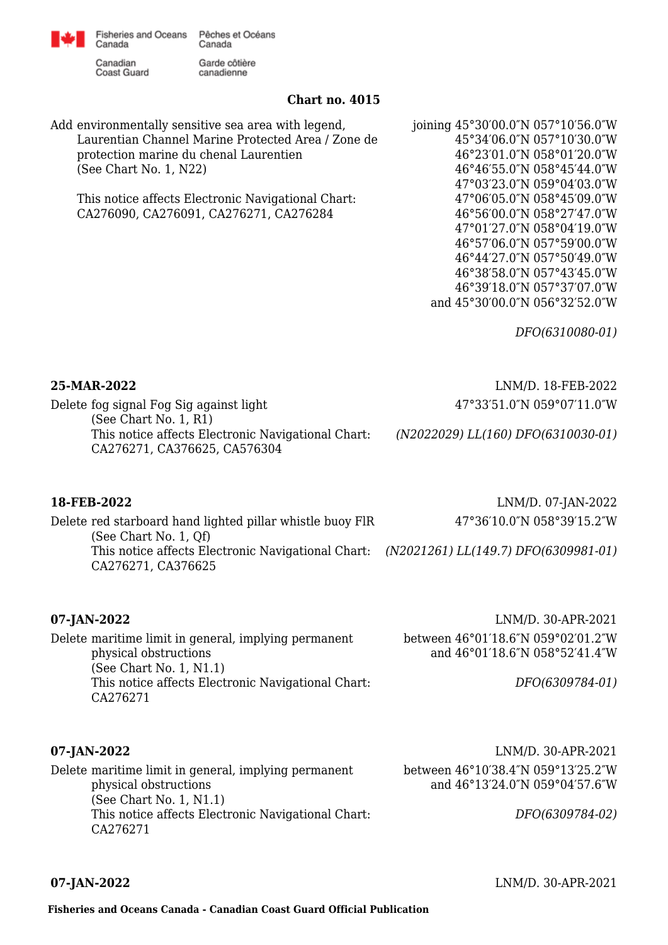

Canadian **Coast Guard** 

Canada

Garde côtière canadienne

## **Chart no. 4015**

Add environmentally sensitive sea area with legend, Laurentian Channel Marine Protected Area / Zone de protection marine du chenal Laurentien (See Chart No. 1, N22)

This notice affects Electronic Navigational Chart: CA276090, CA276091, CA276271, CA276284

joining 45°30′00.0″N 057°10′56.0″W 45°34′06.0″N 057°10′30.0″W 46°23′01.0″N 058°01′20.0″W 46°46′55.0″N 058°45′44.0″W 47°03′23.0″N 059°04′03.0″W 47°06′05.0″N 058°45′09.0″W 46°56′00.0″N 058°27′47.0″W 47°01′27.0″N 058°04′19.0″W 46°57′06.0″N 057°59′00.0″W 46°44′27.0″N 057°50′49.0″W 46°38′58.0″N 057°43′45.0″W 46°39′18.0″N 057°37′07.0″W and 45°30′00.0″N 056°32′52.0″W

*DFO(6310080-01)*

**25-MAR-2022** LNM/D. 18-FEB-2022 47°33′51.0″N 059°07′11.0″W

47°36′10.0″N 058°39′15.2″W

Delete fog signal Fog Sig against light (See Chart No. 1, R1) This notice affects Electronic Navigational Chart: CA276271, CA376625, CA576304

*(N2022029) LL(160) DFO(6310030-01)*

### **18-FEB-2022** LNM/D. 07-JAN-2022

Delete red starboard hand lighted pillar whistle buoy FlR (See Chart No. 1, Qf) This notice affects Electronic Navigational Chart: *(N2021261) LL(149.7) DFO(6309981-01)* CA276271, CA376625

Delete maritime limit in general, implying permanent physical obstructions (See Chart No. 1, N1.1) This notice affects Electronic Navigational Chart: CA276271

**07-JAN-2022** LNM/D. 30-APR-2021 between 46°01′18.6″N 059°02′01.2″W and 46°01′18.6″N 058°52′41.4″W

*DFO(6309784-01)*

**07-JAN-2022** LNM/D. 30-APR-2021

Delete maritime limit in general, implying permanent physical obstructions (See Chart No. 1, N1.1) This notice affects Electronic Navigational Chart: CA276271 between 46°10′38.4″N 059°13′25.2″W and 46°13′24.0″N 059°04′57.6″W *DFO(6309784-02)*

**07-JAN-2022** LNM/D. 30-APR-2021

**Fisheries and Oceans Canada - Canadian Coast Guard Official Publication**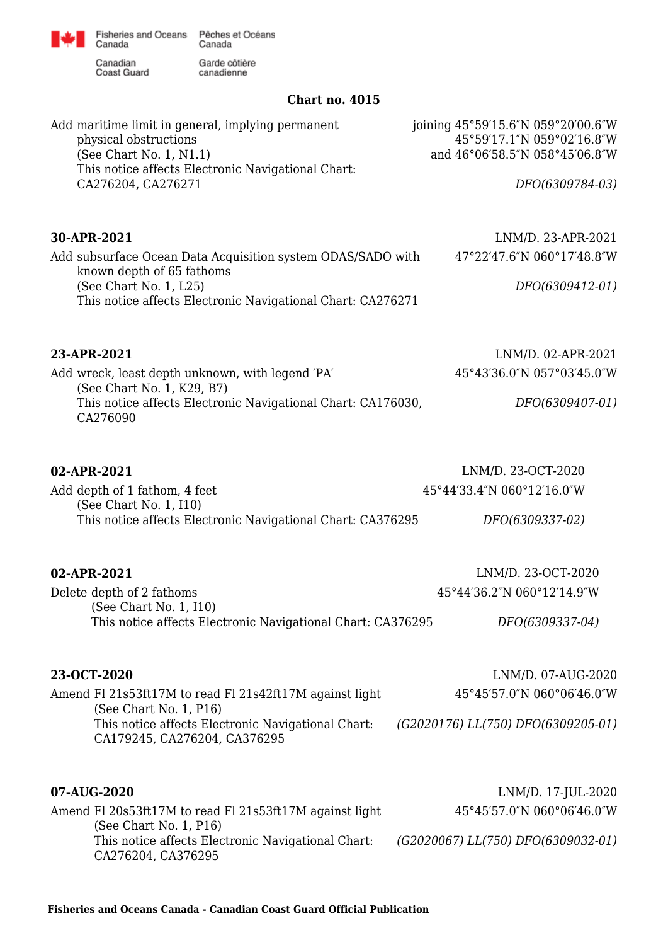

Fisheries and Oceans Pêches et Océans<br>Canada Canada

Canadian<br>Coast Guard

Garde côtière<br>canadienne

## **Chart no. 4015**

| Add maritime limit in general, implying permanent<br>physical obstructions<br>(See Chart No. 1, N1.1)<br>This notice affects Electronic Navigational Chart:<br>CA276204, CA276271 | joining 45°59'15.6"N 059°20'00.6"W<br>45°59'17.1"N 059°02'16.8"W<br>and 46°06'58.5"N 058°45'06.8"W<br>DFO(6309784-03) |
|-----------------------------------------------------------------------------------------------------------------------------------------------------------------------------------|-----------------------------------------------------------------------------------------------------------------------|
| 30-APR-2021                                                                                                                                                                       | LNM/D. 23-APR-2021                                                                                                    |
| Add subsurface Ocean Data Acquisition system ODAS/SADO with                                                                                                                       | 47°22'47.6"N 060°17'48.8"W                                                                                            |
| known depth of 65 fathoms<br>(See Chart No. 1, L25)<br>This notice affects Electronic Navigational Chart: CA276271                                                                | DFO(6309412-01)                                                                                                       |
| 23-APR-2021                                                                                                                                                                       | LNM/D. 02-APR-2021                                                                                                    |
| Add wreck, least depth unknown, with legend 'PA'                                                                                                                                  | 45°43'36.0"N 057°03'45.0"W                                                                                            |
| (See Chart No. 1, K29, B7)<br>This notice affects Electronic Navigational Chart: CA176030,<br>CA276090                                                                            | DFO(6309407-01)                                                                                                       |
|                                                                                                                                                                                   |                                                                                                                       |
| 02-APR-2021                                                                                                                                                                       | LNM/D. 23-OCT-2020                                                                                                    |
| Add depth of 1 fathom, 4 feet<br>(See Chart No. 1, I10)                                                                                                                           | 45°44'33.4"N 060°12'16.0"W                                                                                            |
| This notice affects Electronic Navigational Chart: CA376295                                                                                                                       | DFO(6309337-02)                                                                                                       |
| 02-APR-2021                                                                                                                                                                       | LNM/D. 23-OCT-2020                                                                                                    |
| Delete depth of 2 fathoms                                                                                                                                                         | 45°44'36.2"N 060°12'14.9"W                                                                                            |
| (See Chart No. 1, I10)<br>This notice affects Electronic Navigational Chart: CA376295                                                                                             | DFO(6309337-04)                                                                                                       |
| 23-OCT-2020                                                                                                                                                                       | LNM/D. 07-AUG-2020                                                                                                    |
| Amend Fl 21s53ft17M to read Fl 21s42ft17M against light                                                                                                                           | 45°45'57.0"N 060°06'46.0"W                                                                                            |
| (See Chart No. 1, P16)<br>This notice affects Electronic Navigational Chart:<br>CA179245, CA276204, CA376295                                                                      | (G2020176) LL(750) DFO(6309205-01)                                                                                    |
| 07-AUG-2020                                                                                                                                                                       | LNM/D. 17-JUL-2020                                                                                                    |
| Amend Fl 20s53ft17M to read Fl 21s53ft17M against light                                                                                                                           | 45°45'57.0"N 060°06'46.0"W                                                                                            |
| (See Chart No. 1, P16)<br>This notice affects Electronic Navigational Chart:<br>CA276204, CA376295                                                                                | (G2020067) LL(750) DFO(6309032-01)                                                                                    |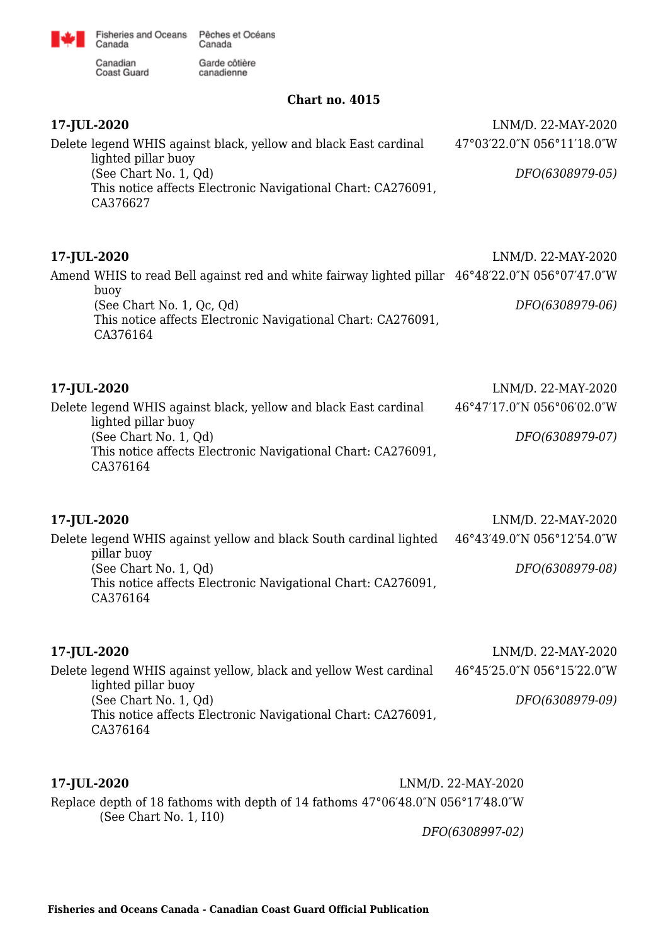

Garde côtière<br>canadienne

Canadian<br>Coast Guard

**Chart no. 4015**

| 17-JUL-2020<br>Delete legend WHIS against black, yellow and black East cardinal<br>lighted pillar buoy<br>(See Chart No. 1, Qd)<br>This notice affects Electronic Navigational Chart: CA276091,<br>CA376627                     | LNM/D. 22-MAY-2020<br>47°03'22.0"N 056°11'18.0"W<br>DFO(6308979-05) |
|---------------------------------------------------------------------------------------------------------------------------------------------------------------------------------------------------------------------------------|---------------------------------------------------------------------|
| 17-JUL-2020<br>Amend WHIS to read Bell against red and white fairway lighted pillar 46°48'22.0"N 056°07'47.0"W<br>buoy<br>(See Chart No. 1, Qc, Qd)<br>This notice affects Electronic Navigational Chart: CA276091,<br>CA376164 | LNM/D. 22-MAY-2020<br>DFO(6308979-06)                               |
| 17-JUL-2020<br>Delete legend WHIS against black, yellow and black East cardinal<br>lighted pillar buoy<br>(See Chart No. 1, Qd)<br>This notice affects Electronic Navigational Chart: CA276091,<br>CA376164                     | LNM/D. 22-MAY-2020<br>46°47'17.0"N 056°06'02.0"W<br>DFO(6308979-07) |
| 17-JUL-2020<br>Delete legend WHIS against yellow and black South cardinal lighted<br>pillar buoy<br>(See Chart No. 1, Qd)<br>This notice affects Electronic Navigational Chart: CA276091,<br>CA376164                           | LNM/D. 22-MAY-2020<br>46°43'49.0"N 056°12'54.0"W<br>DFO(6308979-08) |
| 17-JUL-2020<br>Delete legend WHIS against yellow, black and yellow West cardinal<br>lighted pillar buoy<br>(See Chart No. 1, Qd)<br>This notice affects Electronic Navigational Chart: CA276091,<br>CA376164                    | LNM/D. 22-MAY-2020<br>46°45'25.0"N 056°15'22.0"W<br>DFO(6308979-09) |
| 17-JUL-2020<br>Replace depth of 18 fathoms with depth of 14 fathoms 47°06'48.0"N 056°17'48.0"W<br>(See Chart No. 1, I10)                                                                                                        | LNM/D. 22-MAY-2020                                                  |

*DFO(6308997-02)*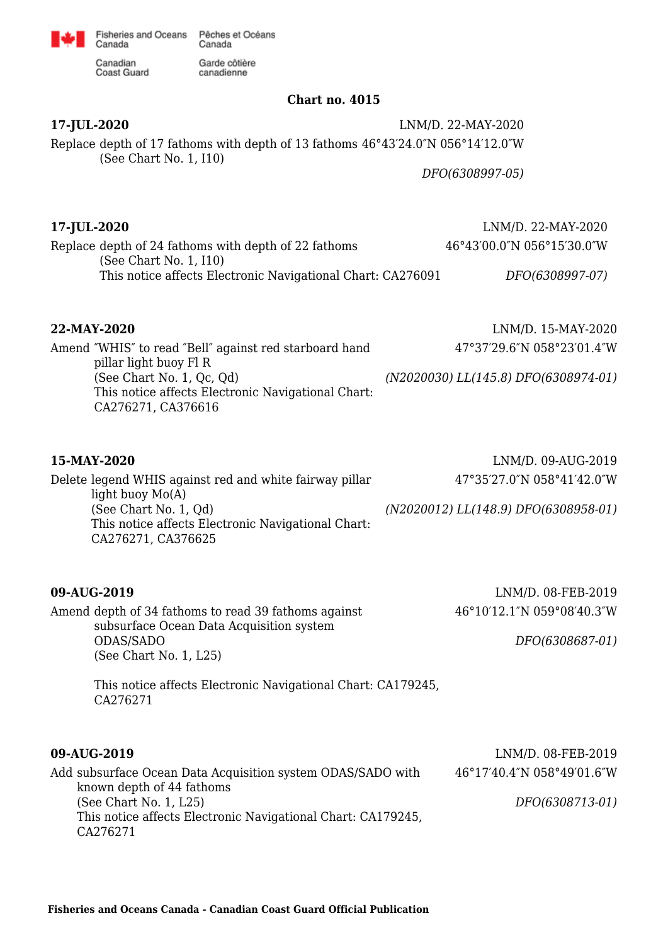

Garde côtière

canadienne

Canadian Coast Guard

Canada

### **Chart no. 4015**

**17-JUL-2020** LNM/D. 22-MAY-2020 Replace depth of 17 fathoms with depth of 13 fathoms 46°43′24.0″N 056°14′12.0″W (See Chart No. 1, I10)

*DFO(6308997-05)*

## **17-JUL-2020** LNM/D. 22-MAY-2020

Replace depth of 24 fathoms with depth of 22 fathoms (See Chart No. 1, I10) This notice affects Electronic Navigational Chart: CA276091 46°43′00.0″N 056°15′30.0″W *DFO(6308997-07)*

Amend ″WHIS″ to read ″Bell″ against red starboard hand pillar light buoy Fl R (See Chart No. 1, Qc, Qd) This notice affects Electronic Navigational Chart: CA276271, CA376616

Delete legend WHIS against red and white fairway pillar

**22-MAY-2020** LNM/D. 15-MAY-2020

47°37′29.6″N 058°23′01.4″W

*(N2020030) LL(145.8) DFO(6308974-01)*

light buoy Mo(A) (See Chart No. 1, Qd)

**15-MAY-2020** LNM/D. 09-AUG-2019 47°35′27.0″N 058°41′42.0″W

*(N2020012) LL(148.9) DFO(6308958-01)*

| This notice affects Electronic Navigational Chart:<br>CA276271, CA376625 |  |
|--------------------------------------------------------------------------|--|
|                                                                          |  |

Amend depth of 34 fathoms to read 39 fathoms against subsurface Ocean Data Acquisition system ODAS/SADO (See Chart No. 1, L25)

**09-AUG-2019** LNM/D. 08-FEB-2019 46°10′12.1″N 059°08′40.3″W

*DFO(6308687-01)*

This notice affects Electronic Navigational Chart: CA179245, CA276271

### **09-AUG-2019** LNM/D. 08-FEB-2019

| Add subsurface Ocean Data Acquisition system ODAS/SADO with  | 46°17'40.4"N 058°49'01.6"W |
|--------------------------------------------------------------|----------------------------|
| known depth of 44 fathoms                                    |                            |
| (See Chart No. 1, L25)                                       | DFO(6308713-01)            |
| This notice affects Electronic Navigational Chart: CA179245, |                            |
| CA276271                                                     |                            |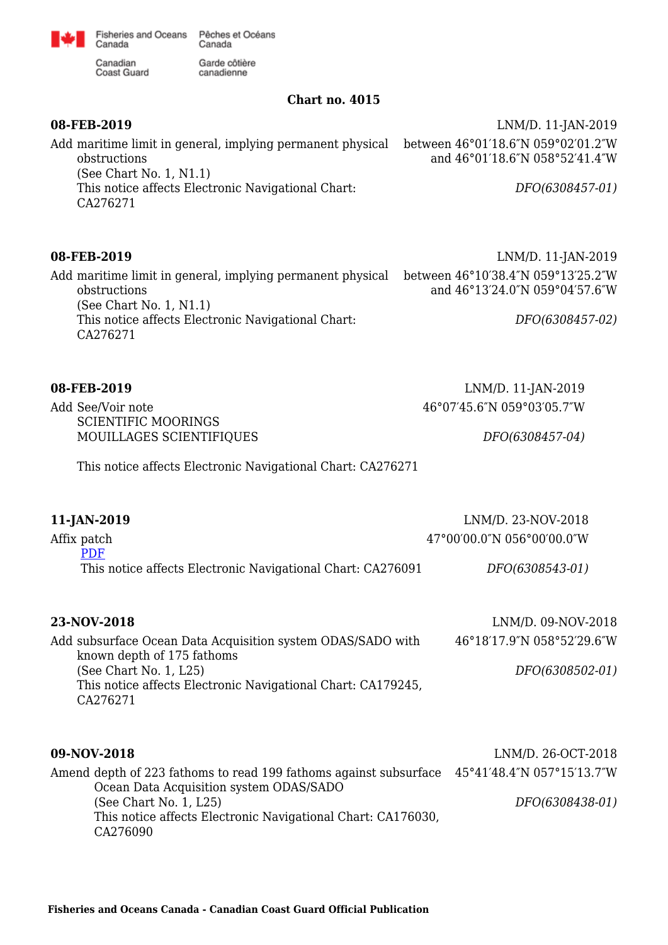

Garde côtière<br>canadienne

Canadian<br>Coast Guard

### **Chart no. 4015**

| 08-FEB-2019<br>Add maritime limit in general, implying permanent physical<br>obstructions<br>(See Chart No. $1, N1.1$ )                       | LNM/D. 11-JAN-2019<br>between 46°01'18.6"N 059°02'01.2"W<br>and 46°01'18.6"N 058°52'41.4"W |
|-----------------------------------------------------------------------------------------------------------------------------------------------|--------------------------------------------------------------------------------------------|
| This notice affects Electronic Navigational Chart:<br>CA276271                                                                                | DFO(6308457-01)                                                                            |
| 08-FEB-2019                                                                                                                                   | LNM/D. 11-JAN-2019                                                                         |
| Add maritime limit in general, implying permanent physical<br>obstructions                                                                    | between 46°10'38.4"N 059°13'25.2"W<br>and 46°13'24.0"N 059°04'57.6"W                       |
| (See Chart No. $1, N1.1$ )<br>This notice affects Electronic Navigational Chart:<br>CA276271                                                  | DFO(6308457-02)                                                                            |
| 08-FEB-2019                                                                                                                                   | LNM/D. 11-JAN-2019                                                                         |
| Add See/Voir note                                                                                                                             | 46°07'45.6"N 059°03'05.7"W                                                                 |
| <b>SCIENTIFIC MOORINGS</b><br>MOUILLAGES SCIENTIFIQUES                                                                                        | DFO(6308457-04)                                                                            |
| This notice affects Electronic Navigational Chart: CA276271                                                                                   |                                                                                            |
| 11-JAN-2019                                                                                                                                   | LNM/D. 23-NOV-2018                                                                         |
| Affix patch                                                                                                                                   | 47°00'00.0"N 056°00'00.0"W                                                                 |
| <b>PDF</b><br>This notice affects Electronic Navigational Chart: CA276091                                                                     | DFO(6308543-01)                                                                            |
| 23-NOV-2018                                                                                                                                   | LNM/D. 09-NOV-2018                                                                         |
| Add subsurface Ocean Data Acquisition system ODAS/SADO with                                                                                   | 46°18'17.9"N 058°52'29.6"W                                                                 |
| known depth of 175 fathoms<br>(See Chart No. 1, L25)<br>This notice affects Electronic Navigational Chart: CA179245,<br>CA276271              | DFO(6308502-01)                                                                            |
|                                                                                                                                               |                                                                                            |
| 09-NOV-2018                                                                                                                                   | LNM/D. 26-OCT-2018                                                                         |
| Amend depth of 223 fathoms to read 199 fathoms against subsurface                                                                             | 45°41'48.4"N 057°15'13.7"W                                                                 |
| Ocean Data Acquisition system ODAS/SADO<br>(See Chart No. 1, L25)<br>This notice affects Electronic Navigational Chart: CA176030,<br>CA276090 | DFO(6308438-01)                                                                            |
|                                                                                                                                               |                                                                                            |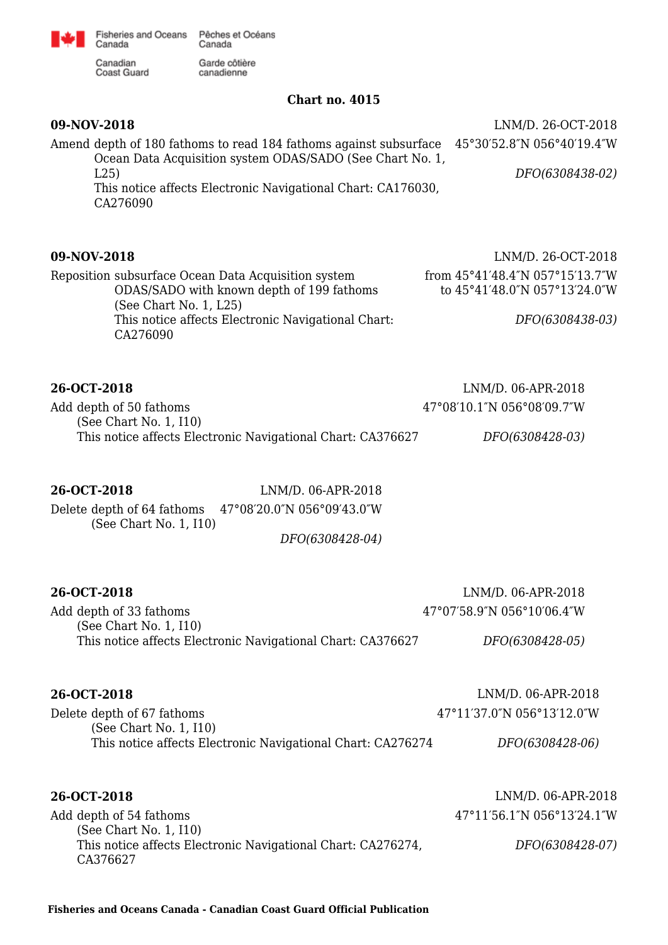

Garde côtière<br>canadienne

Canadian<br>Coast Guard

### **Chart no. 4015**

| 09-NOV-2018<br>Amend depth of 180 fathoms to read 184 fathoms against subsurface 45°30′52.8″N 056°40′19.4″W<br>Ocean Data Acquisition system ODAS/SADO (See Chart No. 1,<br>L25<br>This notice affects Electronic Navigational Chart: CA176030,<br>CA276090 | LNM/D. 26-OCT-2018<br>DFO(6308438-02)                                                                     |
|-------------------------------------------------------------------------------------------------------------------------------------------------------------------------------------------------------------------------------------------------------------|-----------------------------------------------------------------------------------------------------------|
| 09-NOV-2018<br>Reposition subsurface Ocean Data Acquisition system<br>ODAS/SADO with known depth of 199 fathoms<br>(See Chart No. 1, L25)<br>This notice affects Electronic Navigational Chart:<br>CA276090                                                 | LNM/D. 26-OCT-2018<br>from 45°41'48.4"N 057°15'13.7"W<br>to 45°41'48.0"N 057°13'24.0"W<br>DFO(6308438-03) |
| 26-OCT-2018<br>Add depth of 50 fathoms<br>(See Chart No. 1, I10)<br>This notice affects Electronic Navigational Chart: CA376627                                                                                                                             | LNM/D. 06-APR-2018<br>47°08'10.1"N 056°08'09.7"W<br>DFO(6308428-03)                                       |
| 26-OCT-2018<br>LNM/D. 06-APR-2018<br>Delete depth of 64 fathoms 47°08'20.0"N 056°09'43.0"W<br>(See Chart No. 1, I10)<br>DFO(6308428-04)                                                                                                                     |                                                                                                           |
| 26-OCT-2018<br>Add depth of 33 fathoms<br>(See Chart No. 1, I10)<br>This notice affects Electronic Navigational Chart: CA376627                                                                                                                             | LNM/D. 06-APR-2018<br>47°07'58.9"N 056°10'06.4"W<br>DFO(6308428-05)                                       |
| 26-OCT-2018<br>Delete depth of 67 fathoms<br>(See Chart No. 1, I10)<br>This notice affects Electronic Navigational Chart: CA276274                                                                                                                          | LNM/D. 06-APR-2018<br>47°11'37.0"N 056°13'12.0"W<br>DFO(6308428-06)                                       |
| 26-OCT-2018<br>Add depth of 54 fathoms<br>(See Chart No. 1, 110)<br>This notice affects Electronic Navigational Chart: CA276274,<br>CA376627                                                                                                                | LNM/D. 06-APR-2018<br>47°11'56.1"N 056°13'24.1"W<br>DFO(6308428-07)                                       |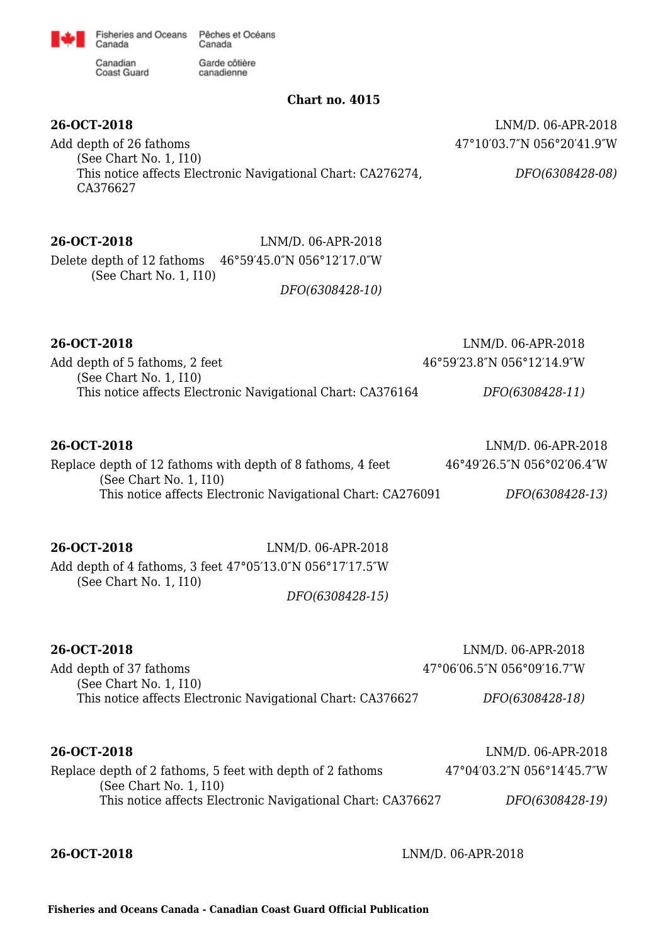

canadienne

Canadian Coast Guard

Canada

### **Chart no. 4015**

**26-OCT-2018** LNM/D. 06-APR-2018 47°10′03.7″N 056°20′41.9″W

Add depth of 26 fathoms (See Chart No. 1, I10) This notice affects Electronic Navigational Chart: CA276274, CA376627

*DFO(6308428-08)*

# **26-OCT-2018** LNM/D. 06-APR-2018 Delete depth of 12 fathoms 46°59′45.0″N 056°12′17.0″W (See Chart No. 1, I10)

*DFO(6308428-10)*

### **26-OCT-2018** LNM/D. 06-APR-2018

| Add depth of 5 fathoms, 2 feet                              | 46°59′23.8″N 056°12′14.9″W |
|-------------------------------------------------------------|----------------------------|
| (See Chart No. 1, 110)                                      |                            |
| This notice affects Electronic Navigational Chart: CA376164 | DFO(6308428-11)            |

### **26-OCT-2018** LNM/D. 06-APR-2018 Replace depth of 12 fathoms with depth of 8 fathoms, 4 feet (See Chart No. 1, I10) This notice affects Electronic Navigational Chart: CA276091 46°49′26.5″N 056°02′06.4″W *DFO(6308428-13)*

**26-OCT-2018** LNM/D. 06-APR-2018 Add depth of 4 fathoms, 3 feet 47°05′13.0″N 056°17′17.5″W (See Chart No. 1, I10)

*DFO(6308428-15)*

# **26-OCT-2018** LNM/D. 06-APR-2018 Add depth of 37 fathoms (See Chart No. 1, I10) This notice affects Electronic Navigational Chart: CA376627 47°06′06.5″N 056°09′16.7″W *DFO(6308428-18)* **26-OCT-2018** LNM/D. 06-APR-2018

| 40-VVI-4010                                                 | $L11!L1L$ . 00-AI IU-40 IU |
|-------------------------------------------------------------|----------------------------|
| Replace depth of 2 fathoms, 5 feet with depth of 2 fathoms  | 47°04′03.2″N 056°14′45.7″W |
| (See Chart No. 1, 110)                                      |                            |
| This notice affects Electronic Navigational Chart: CA376627 | DFO(6308428-19)            |
|                                                             |                            |

**26-OCT-2018** LNM/D. 06-APR-2018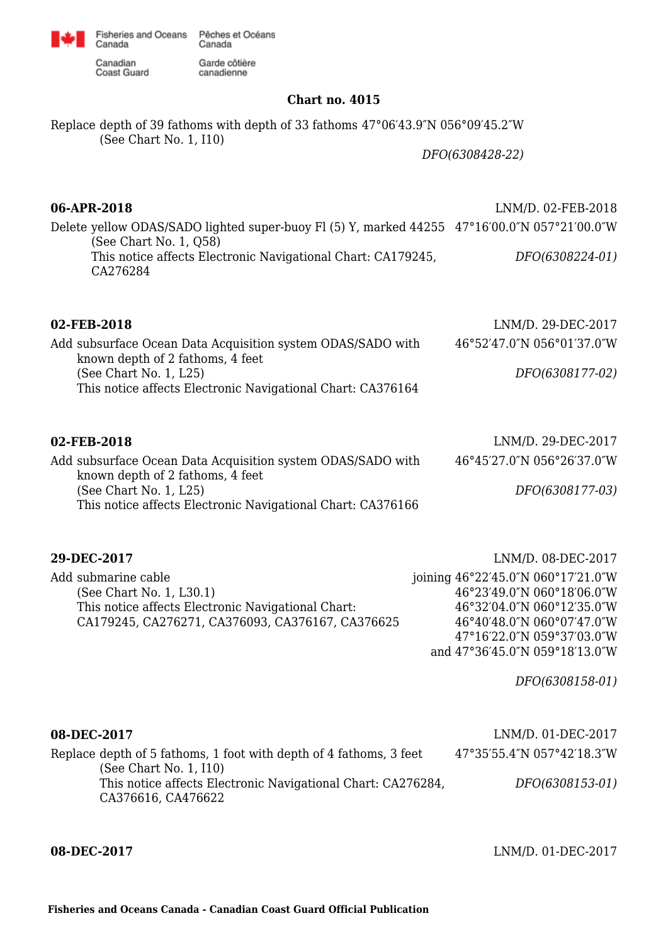

canadienne

Canadian Canadian<br>Coast Guard

Canada

## **Chart no. 4015**

Replace depth of 39 fathoms with depth of 33 fathoms 47°06′43.9″N 056°09′45.2″W (See Chart No. 1, I10)

*DFO(6308428-22)*

| 06-APR-2018                                                                                                            | LNM/D. 02-FEB-2018 |
|------------------------------------------------------------------------------------------------------------------------|--------------------|
| Delete yellow ODAS/SADO lighted super-buoy Fl (5) Y, marked 44255 47°16′00.0″N 057°21′00.0″W<br>(See Chart No. 1, Q58) |                    |
| This notice affects Electronic Navigational Chart: CA179245,<br>CA276284                                               | DFO(6308224-01)    |
|                                                                                                                        |                    |

| 02-FEB-2018                                                 | LNM/D. 29-DEC-2017         |
|-------------------------------------------------------------|----------------------------|
| Add subsurface Ocean Data Acquisition system ODAS/SADO with | 46°52'47.0"N 056°01'37.0"W |
| known depth of 2 fathoms, 4 feet                            |                            |
| (See Chart No. 1, L25)                                      | DFO(6308177-02)            |
| This notice affects Electronic Navigational Chart: CA376164 |                            |
|                                                             |                            |
|                                                             |                            |

| 02-FEB-2018                                                                                     | LNM/D. 29-DEC-2017         |
|-------------------------------------------------------------------------------------------------|----------------------------|
| Add subsurface Ocean Data Acquisition system ODAS/SADO with<br>known depth of 2 fathoms, 4 feet | 46°45'27.0"N 056°26'37.0"W |
| (See Chart No. 1, L25)                                                                          | DFO(6308177-03)            |
| This notice affects Electronic Navigational Chart: CA376166                                     |                            |

| 29-DEC-2017                                        | LNM/D. 08-DEC-2017                 |
|----------------------------------------------------|------------------------------------|
| Add submarine cable                                | joining 46°22′45.0″N 060°17′21.0″W |
| (See Chart No. 1, L30.1)                           | 46°23'49.0"N 060°18'06.0"W         |
| This notice affects Electronic Navigational Chart: | 46°32'04.0"N 060°12'35.0"W         |
| CA179245, CA276271, CA376093, CA376167, CA376625   | 46°40'48.0"N 060°07'47.0"W         |
|                                                    | 47°16'22.0"N 059°37'03.0"W         |
|                                                    | and 47°36'45.0"N 059°18'13.0"W     |

*DFO(6308158-01)*

| 08-DEC-2017                                                                                                  | LNM/D. 01-DEC-2017         |
|--------------------------------------------------------------------------------------------------------------|----------------------------|
| Replace depth of 5 fathoms, 1 foot with depth of 4 fathoms, 3 feet                                           | 47°35′55.4″N 057°42′18.3″W |
| (See Chart No. 1, 110)<br>This notice affects Electronic Navigational Chart: CA276284,<br>CA376616, CA476622 | DFO(6308153-01)            |

**08-DEC-2017** LNM/D. 01-DEC-2017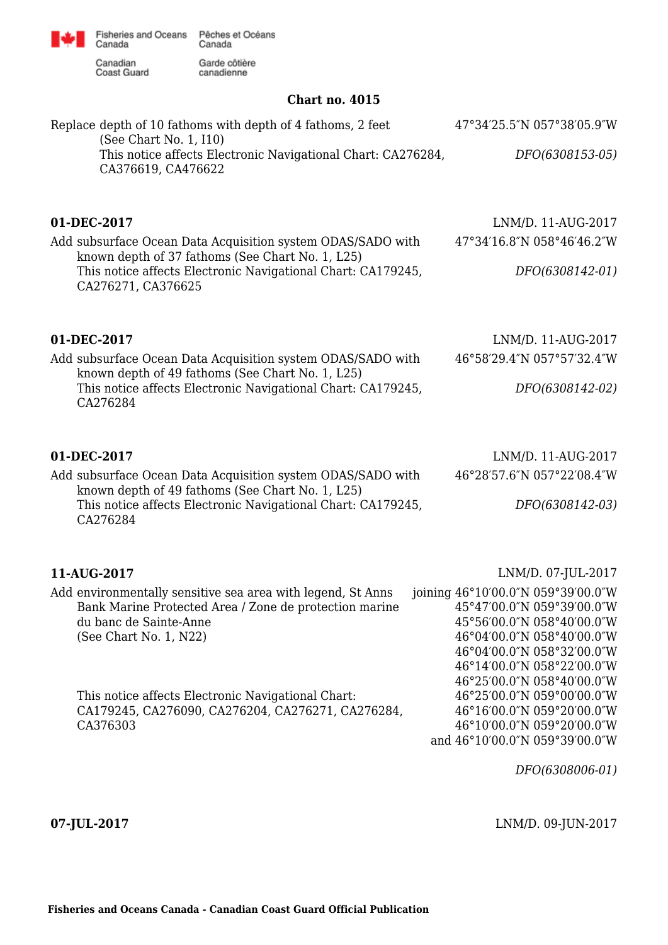Canadian<br>Coast Guard

Canada

Garde côtière canadienne

## **Chart no. 4015**

| Replace depth of 10 fathoms with depth of 4 fathoms, 2 feet<br>(See Chart No. 1, I10)<br>This notice affects Electronic Navigational Chart: CA276284,<br>CA376619, CA476622                                          | 47°34′25.5″N 057°38′05.9″W<br>DFO(6308153-05)                                                                                                                                                                  |
|----------------------------------------------------------------------------------------------------------------------------------------------------------------------------------------------------------------------|----------------------------------------------------------------------------------------------------------------------------------------------------------------------------------------------------------------|
| 01-DEC-2017<br>Add subsurface Ocean Data Acquisition system ODAS/SADO with<br>known depth of 37 fathoms (See Chart No. 1, L25)<br>This notice affects Electronic Navigational Chart: CA179245,<br>CA276271, CA376625 | LNM/D. 11-AUG-2017<br>47°34'16.8"N 058°46'46.2"W<br>DFO(6308142-01)                                                                                                                                            |
| 01-DEC-2017<br>Add subsurface Ocean Data Acquisition system ODAS/SADO with<br>known depth of 49 fathoms (See Chart No. 1, L25)<br>This notice affects Electronic Navigational Chart: CA179245,<br>CA276284           | LNM/D. 11-AUG-2017<br>46°58'29.4"N 057°57'32.4"W<br>DFO(6308142-02)                                                                                                                                            |
| 01-DEC-2017<br>Add subsurface Ocean Data Acquisition system ODAS/SADO with<br>known depth of 49 fathoms (See Chart No. 1, L25)<br>This notice affects Electronic Navigational Chart: CA179245,<br>CA276284           | LNM/D. 11-AUG-2017<br>46°28'57.6"N 057°22'08.4"W<br>DFO(6308142-03)                                                                                                                                            |
| 11-AUG-2017<br>Add environmentally sensitive sea area with legend, St Anns<br>Bank Marine Protected Area / Zone de protection marine<br>du banc de Sainte-Anne<br>(See Chart No. 1, N22)                             | LNM/D. 07-JUL-2017<br>joining 46°10′00.0″N 059°39′00.0″W<br>45°47'00.0"N 059°39'00.0"W<br>45°56'00.0"N 058°40'00.0"W<br>46°04'00.0"N 058°40'00.0"W<br>46°04'00.0"N 058°32'00.0"W<br>46°14'00.0"N 058°22'00.0"W |
| This notice affects Electronic Navigational Chart:<br>CA179245, CA276090, CA276204, CA276271, CA276284,<br>CA376303                                                                                                  | 46°25'00.0"N 058°40'00.0"W<br>46°25'00.0"N 059°00'00.0"W<br>46°16'00.0"N 059°20'00.0"W<br>46°10'00.0"N 059°20'00.0"W<br>and 46°10'00.0"N 059°39'00.0"W                                                         |

*DFO(6308006-01)*

**07-JUL-2017** LNM/D. 09-JUN-2017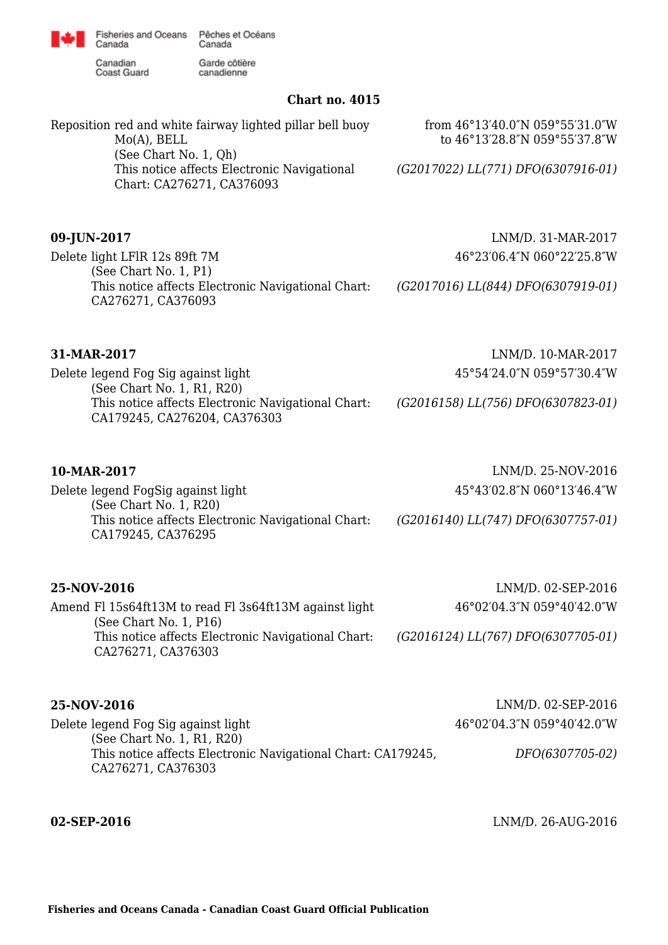

Canadian **Coast Guard** 

Canada

Garde côtière canadienne

### **Chart no. 4015**

Reposition red and white fairway lighted pillar bell buoy Mo(A), BELL (See Chart No. 1, Qh) This notice affects Electronic Navigational Chart: CA276271, CA376093 from 46°13′40.0″N 059°55′31.0″W to 46°13′28.8″N 059°55′37.8″W *(G2017022) LL(771) DFO(6307916-01)*

Delete light LFlR 12s 89ft 7M (See Chart No. 1, P1) This notice affects Electronic Navigational Chart: CA276271, CA376093

**09-JUN-2017** LNM/D. 31-MAR-2017 46°23′06.4″N 060°22′25.8″W

*(G2017016) LL(844) DFO(6307919-01)*

Delete legend Fog Sig against light (See Chart No. 1, R1, R20) This notice affects Electronic Navigational Chart: CA179245, CA276204, CA376303

**31-MAR-2017** LNM/D. 10-MAR-2017 45°54′24.0″N 059°57′30.4″W

*(G2016158) LL(756) DFO(6307823-01)*

| 10-MAR-2017                                                              | LNM/D. 25-NOV-2016                 |
|--------------------------------------------------------------------------|------------------------------------|
| Delete legend FogSig against light<br>(See Chart No. 1, R20)             | 45°43′02.8″N 060°13′46.4″W         |
| This notice affects Electronic Navigational Chart:<br>CA179245, CA376295 | (G2016140) LL(747) DFO(6307757-01) |

| 25-NOV-2016                                                                         | LNM/D. 02-SEP-2016                 |
|-------------------------------------------------------------------------------------|------------------------------------|
| Amend FI 15s64ft13M to read FI 3s64ft13M against light<br>(See Chart No. $1, P16$ ) | 46°02′04.3″N 059°40′42.0″W         |
| This notice affects Electronic Navigational Chart:<br>CA276271, CA376303            | (G2016124) LL(767) DFO(6307705-01) |

**25-NOV-2016** LNM/D. 02-SEP-2016 Delete legend Fog Sig against light (See Chart No. 1, R1, R20) This notice affects Electronic Navigational Chart: CA179245, CA276271, CA376303 46°02′04.3″N 059°40′42.0″W *DFO(6307705-02)*

**02-SEP-2016** LNM/D. 26-AUG-2016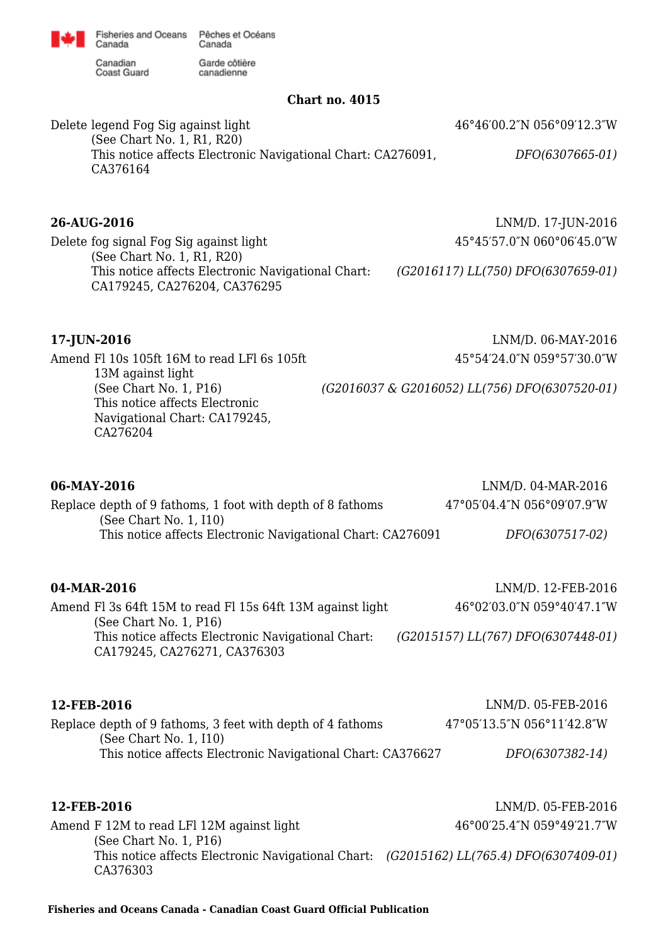Canadian **Coast Guard** 

Canada

Garde côtière canadienne

### **Chart no. 4015**

Delete legend Fog Sig against light (See Chart No. 1, R1, R20) This notice affects Electronic Navigational Chart: CA276091, CA376164 46°46′00.2″N 056°09′12.3″W *DFO(6307665-01)*

## **26-AUG-2016** LNM/D. 17-JUN-2016

Delete fog signal Fog Sig against light (See Chart No. 1, R1, R20) This notice affects Electronic Navigational Chart: CA179245, CA276204, CA376295

45°45′57.0″N 060°06′45.0″W

*(G2016117) LL(750) DFO(6307659-01)*

Amend Fl 10s 105ft 16M to read LFl 6s 105ft 13M against light (See Chart No. 1, P16) This notice affects Electronic Navigational Chart: CA179245, CA276204

**17-JUN-2016** LNM/D. 06-MAY-2016 45°54′24.0″N 059°57′30.0″W

*(G2016037 & G2016052) LL(756) DFO(6307520-01)*

| 06-MAY-2016<br>Replace depth of 9 fathoms, 1 foot with depth of 8 fathoms<br>(See Chart No. 1, I10)<br>This notice affects Electronic Navigational Chart: CA276091                           | LNM/D. 04-MAR-2016<br>47°05'04.4"N 056°09'07.9"W<br>DFO(6307517-02)                    |
|----------------------------------------------------------------------------------------------------------------------------------------------------------------------------------------------|----------------------------------------------------------------------------------------|
| 04-MAR-2016<br>Amend Fl 3s 64ft 15M to read Fl 15s 64ft 13M against light<br>(See Chart No. $1, P16$ )<br>This notice affects Electronic Navigational Chart:<br>CA179245, CA276271, CA376303 | LNM/D. 12-FEB-2016<br>46°02′03.0″N 059°40′47.1″W<br>(G2015157) LL(767) DFO(6307448-01) |
| 12-FEB-2016<br>Replace depth of 9 fathoms, 3 feet with depth of 4 fathoms<br>(See Chart No. 1, I10)<br>This notice affects Electronic Navigational Chart: CA376627                           | LNM/D. 05-FEB-2016<br>47°05'13.5"N 056°11'42.8"W<br>DFO(6307382-14)                    |
| 12-FEB-2016<br>Amend F 12M to read LFI 12M against light<br>(See Chart No. 1, P16)<br>This notice affects Electronic Navigational Chart: (G2015162) LL(765.4) DFO(6307409-01)<br>CA376303    | LNM/D. 05-FEB-2016<br>46°00'25.4"N 059°49'21.7"W                                       |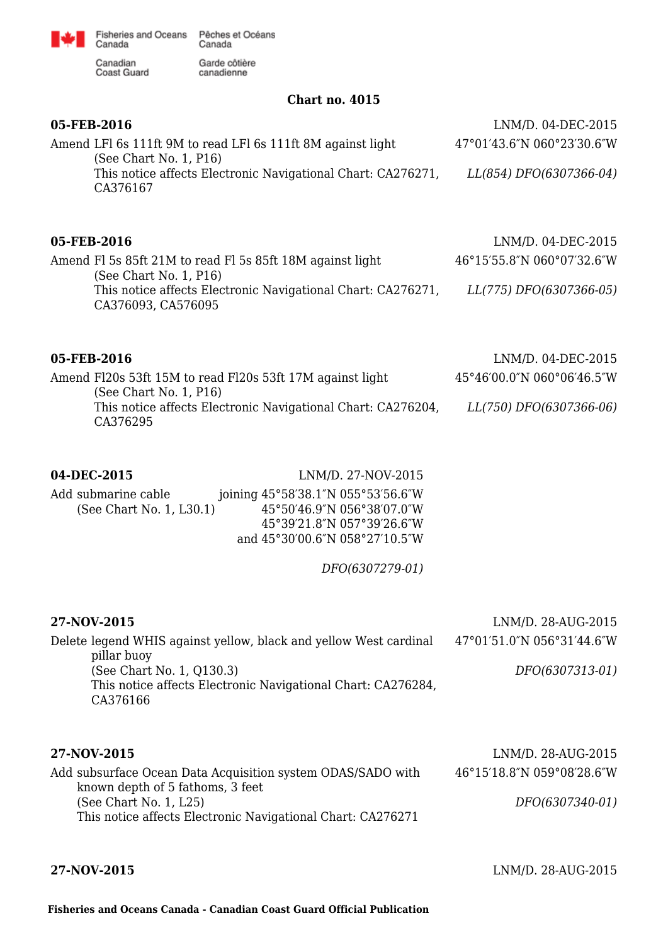

Garde côtière canadienne

Canadian<br>Coast Guard

**Chart no. 4015**

| 05-FEB-2016                                                                                                                                                                         | LNM/D. 04-DEC-2015         |
|-------------------------------------------------------------------------------------------------------------------------------------------------------------------------------------|----------------------------|
| Amend LFI 6s 111ft 9M to read LFI 6s 111ft 8M against light<br>(See Chart No. 1, P16)                                                                                               | 47°01'43.6"N 060°23'30.6"W |
| This notice affects Electronic Navigational Chart: CA276271,<br>CA376167                                                                                                            | LL(854) DFO(6307366-04)    |
| 05-FEB-2016                                                                                                                                                                         | LNM/D. 04-DEC-2015         |
| Amend Fl 5s 85ft 21M to read Fl 5s 85ft 18M against light                                                                                                                           | 46°15'55.8"N 060°07'32.6"W |
| (See Chart No. 1, P16)<br>This notice affects Electronic Navigational Chart: CA276271,<br>CA376093, CA576095                                                                        | LL(775) DFO(6307366-05)    |
| 05-FEB-2016                                                                                                                                                                         | LNM/D. 04-DEC-2015         |
| Amend F120s 53ft 15M to read F120s 53ft 17M against light<br>(See Chart No. 1, P16)                                                                                                 | 45°46'00.0"N 060°06'46.5"W |
| This notice affects Electronic Navigational Chart: CA276204,<br>CA376295                                                                                                            | LL(750) DFO(6307366-06)    |
| 04-DEC-2015<br>LNM/D. 27-NOV-2015                                                                                                                                                   |                            |
| Add submarine cable<br>joining 45°58'38.1"N 055°53'56.6"W<br>(See Chart No. 1, L30.1)<br>45°50'46.9"N 056°38'07.0"W<br>45°39'21.8"N 057°39'26.6"W<br>and 45°30'00.6"N 058°27'10.5"W |                            |
| DFO(6307279-01)                                                                                                                                                                     |                            |
| 27-NOV-2015                                                                                                                                                                         | LNM/D. 28-AUG-2015         |
| Delete legend WHIS against yellow, black and yellow West cardinal                                                                                                                   | 47°01′51.0″N 056°31′44.6″W |
| pillar buoy<br>(See Chart No. 1, Q130.3)<br>This notice affects Electronic Navigational Chart: CA276284,<br>CA376166                                                                | DFO(6307313-01)            |
| 27-NOV-2015                                                                                                                                                                         | LNM/D. 28-AUG-2015         |
| Add subsurface Ocean Data Acquisition system ODAS/SADO with<br>known depth of 5 fathoms, 3 feet                                                                                     | 46°15'18.8"N 059°08'28.6"W |
| (See Chart No. 1, L25)<br>This notice affects Electronic Navigational Chart: CA276271                                                                                               | DFO(6307340-01)            |
|                                                                                                                                                                                     |                            |

**27-NOV-2015** LNM/D. 28-AUG-2015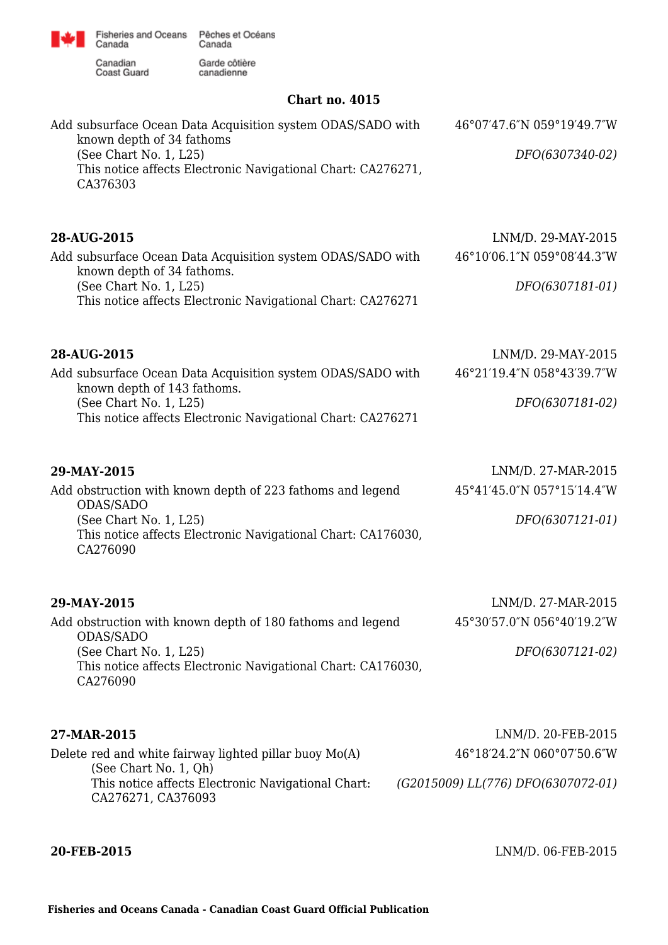

Canadian<br>Coast Guard

Garde côtière canadienne

## **Chart no. 4015**

| Add subsurface Ocean Data Acquisition system ODAS/SADO with<br>known depth of 34 fathoms                             | 46°07'47.6"N 059°19'49.7"W         |
|----------------------------------------------------------------------------------------------------------------------|------------------------------------|
| (See Chart No. 1, L25)<br>This notice affects Electronic Navigational Chart: CA276271,<br>CA376303                   | DFO(6307340-02)                    |
| 28-AUG-2015                                                                                                          | LNM/D. 29-MAY-2015                 |
| Add subsurface Ocean Data Acquisition system ODAS/SADO with                                                          | 46°10'06.1"N 059°08'44.3"W         |
| known depth of 34 fathoms.<br>(See Chart No. 1, L25)<br>This notice affects Electronic Navigational Chart: CA276271  | DFO(6307181-01)                    |
| 28-AUG-2015                                                                                                          | LNM/D. 29-MAY-2015                 |
| Add subsurface Ocean Data Acquisition system ODAS/SADO with                                                          | 46°21'19.4"N 058°43'39.7"W         |
| known depth of 143 fathoms.<br>(See Chart No. 1, L25)<br>This notice affects Electronic Navigational Chart: CA276271 | DFO(6307181-02)                    |
| 29-MAY-2015                                                                                                          | LNM/D. 27-MAR-2015                 |
| Add obstruction with known depth of 223 fathoms and legend<br>ODAS/SADO                                              | 45°41'45.0"N 057°15'14.4"W         |
| (See Chart No. 1, L25)<br>This notice affects Electronic Navigational Chart: CA176030,<br>CA276090                   | DFO(6307121-01)                    |
| 29-MAY-2015                                                                                                          | LNM/D. 27-MAR-2015                 |
| Add obstruction with known depth of 180 fathoms and legend<br>ODAS/SADO                                              | 45°30'57.0"N 056°40'19.2"W         |
| (See Chart No. 1, L25)<br>This notice affects Electronic Navigational Chart: CA176030,<br>CA276090                   | DFO(6307121-02)                    |
| 27-MAR-2015                                                                                                          | LNM/D. 20-FEB-2015                 |
| Delete red and white fairway lighted pillar buoy Mo(A)<br>(See Chart No. 1, Qh)                                      | 46°18'24.2"N 060°07'50.6"W         |
| This notice affects Electronic Navigational Chart:<br>CA276271, CA376093                                             | (G2015009) LL(776) DFO(6307072-01) |

**20-FEB-2015** LNM/D. 06-FEB-2015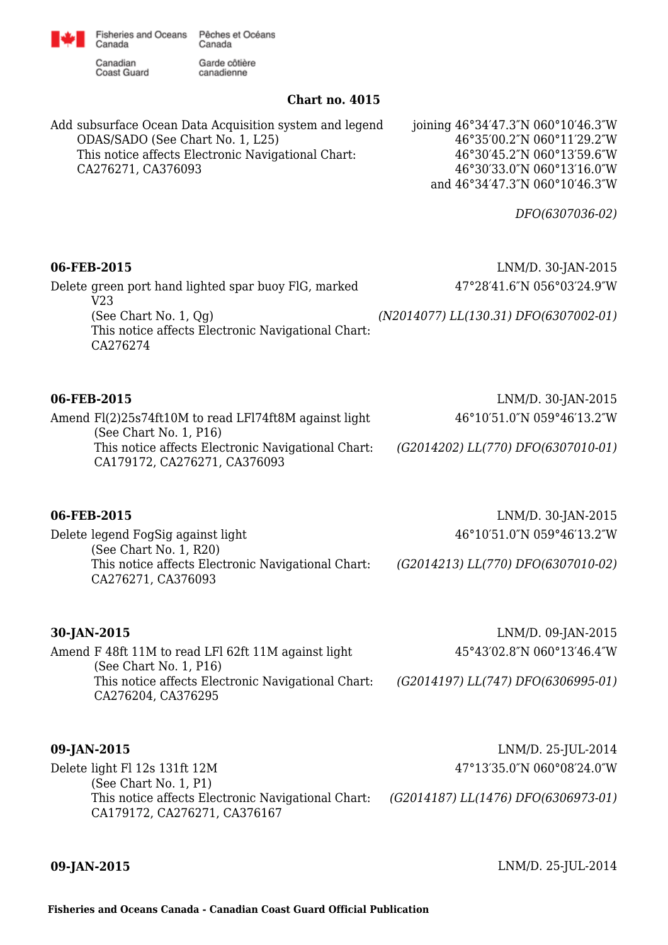

Garde côtière

Canadian **Coast Guard** 

Canada

canadienne

### **Chart no. 4015**

Add subsurface Ocean Data Acquisition system and legend ODAS/SADO (See Chart No. 1, L25) This notice affects Electronic Navigational Chart: CA276271, CA376093

joining 46°34′47.3″N 060°10′46.3″W 46°35′00.2″N 060°11′29.2″W 46°30′45.2″N 060°13′59.6″W 46°30′33.0″N 060°13′16.0″W and 46°34′47.3″N 060°10′46.3″W

*DFO(6307036-02)*

## **06-FEB-2015** LNM/D. 30-JAN-2015

Delete green port hand lighted spar buoy FlG, marked V23 (See Chart No. 1, Qg) This notice affects Electronic Navigational Chart: CA276274

Amend Fl(2)25s74ft10M to read LFl74ft8M against light (See Chart No. 1, P16) This notice affects Electronic Navigational Chart: CA179172, CA276271, CA376093

**06-FEB-2015** LNM/D. 30-JAN-2015 46°10′51.0″N 059°46′13.2″W

47°28′41.6″N 056°03′24.9″W

*(G2014202) LL(770) DFO(6307010-01)*

*(G2014213) LL(770) DFO(6307010-02)*

*(N2014077) LL(130.31) DFO(6307002-01)*

### **06-FEB-2015** LNM/D. 30-JAN-2015

Delete legend FogSig against light (See Chart No. 1, R20) This notice affects Electronic Navigational Chart: CA276271, CA376093

Amend F 48ft 11M to read LFl 62ft 11M against light (See Chart No. 1, P16) This notice affects Electronic Navigational Chart: CA276204, CA376295

**30-JAN-2015** LNM/D. 09-JAN-2015 45°43′02.8″N 060°13′46.4″W

46°10′51.0″N 059°46′13.2″W

*(G2014197) LL(747) DFO(6306995-01)*

| 09-JAN-2015                                                                        | LNM/D. 25-JUL-2014                          |
|------------------------------------------------------------------------------------|---------------------------------------------|
| Delete light Fl 12s 131ft 12M<br>(See Chart No. 1, P1)                             | 47°13′35.0″N 060°08′24.0″W                  |
| This notice affects Electronic Navigational Chart:<br>CA179172, CA276271, CA376167 | $(G2014187)$ LL $(1476)$ DFO $(6306973-01)$ |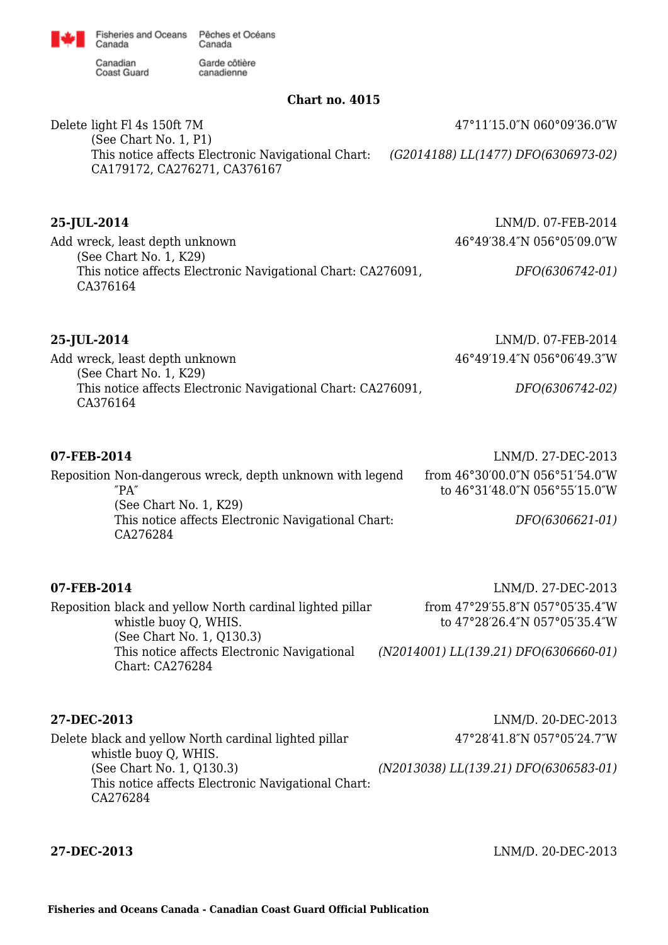Canada Canadian Coast Guard

Garde côtière canadienne

### **Chart no. 4015**

Delete light Fl 4s 150ft 7M (See Chart No. 1, P1) This notice affects Electronic Navigational Chart: CA179172, CA276271, CA376167 47°11′15.0″N 060°09′36.0″W *(G2014188) LL(1477) DFO(6306973-02)*

## **25-JUL-2014** LNM/D. 07-FEB-2014

Add wreck, least depth unknown (See Chart No. 1, K29) This notice affects Electronic Navigational Chart: CA276091, CA376164 46°49′38.4″N 056°05′09.0″W *DFO(6306742-01)*

**25-JUL-2014** LNM/D. 07-FEB-2014 Add wreck, least depth unknown (See Chart No. 1, K29) This notice affects Electronic Navigational Chart: CA276091, CA376164 46°49′19.4″N 056°06′49.3″W *DFO(6306742-02)*

## **07-FEB-2014** LNM/D. 27-DEC-2013

Reposition Non-dangerous wreck, depth unknown with legend ″PA″ (See Chart No. 1, K29) This notice affects Electronic Navigational Chart: CA276284 from 46°30′00.0″N 056°51′54.0″W to 46°31′48.0″N 056°55′15.0″W *DFO(6306621-01)*

## **07-FEB-2014** LNM/D. 27-DEC-2013 Reposition black and yellow North cardinal lighted pillar whistle buoy Q, WHIS. (See Chart No. 1, Q130.3) This notice affects Electronic Navigational

from 47°29′55.8″N 057°05′35.4″W to 47°28′26.4″N 057°05′35.4″W

*(N2014001) LL(139.21) DFO(6306660-01)*

Chart: CA276284

**27-DEC-2013** LNM/D. 20-DEC-2013 Delete black and yellow North cardinal lighted pillar whistle buoy Q, WHIS. (See Chart No. 1, Q130.3) This notice affects Electronic Navigational Chart: CA276284 47°28′41.8″N 057°05′24.7″W *(N2013038) LL(139.21) DFO(6306583-01)*

**27-DEC-2013** LNM/D. 20-DEC-2013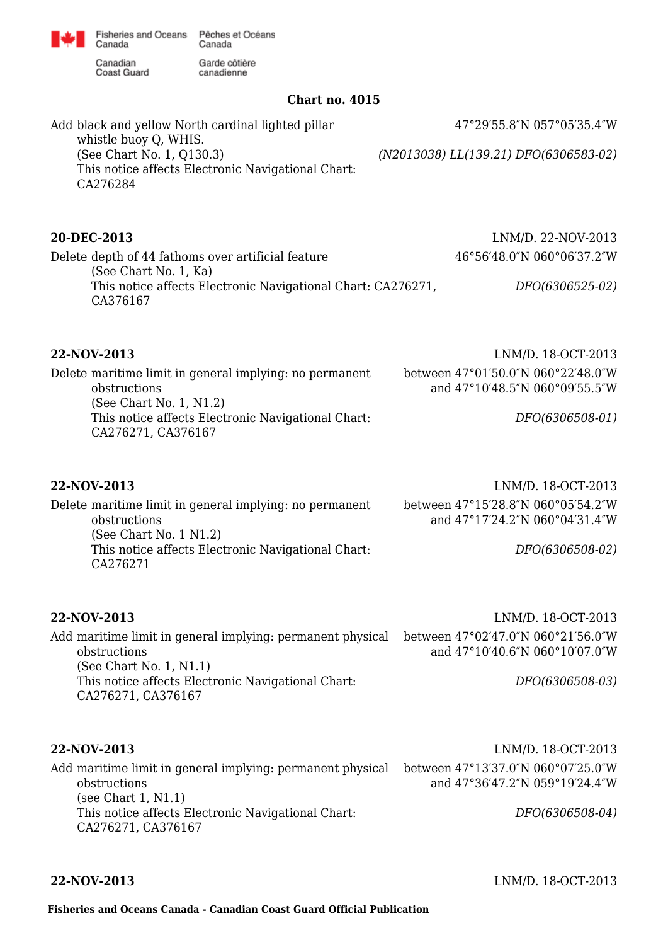

Canadian **Coast Guard** 

Canada

Garde côtière canadienne

### **Chart no. 4015**

Add black and yellow North cardinal lighted pillar whistle buoy Q, WHIS. (See Chart No. 1, Q130.3) This notice affects Electronic Navigational Chart: CA276284 47°29′55.8″N 057°05′35.4″W *(N2013038) LL(139.21) DFO(6306583-02)*

## **20-DEC-2013** LNM/D. 22-NOV-2013

Delete depth of 44 fathoms over artificial feature (See Chart No. 1, Ka) This notice affects Electronic Navigational Chart: CA276271, CA376167 46°56′48.0″N 060°06′37.2″W

## **22-NOV-2013** LNM/D. 18-OCT-2013

Delete maritime limit in general implying: no permanent obstructions (See Chart No. 1, N1.2) This notice affects Electronic Navigational Chart: CA276271, CA376167

Delete maritime limit in general implying: no permanent obstructions (See Chart No. 1 N1.2) This notice affects Electronic Navigational Chart: CA276271

*DFO(6306525-02)*

*DFO(6306508-01)*

between 47°01′50.0″N 060°22′48.0″W and 47°10′48.5″N 060°09′55.5″W

**22-NOV-2013** LNM/D. 18-OCT-2013 between 47°15′28.8″N 060°05′54.2″W and 47°17′24.2″N 060°04′31.4″W

*DFO(6306508-02)*

obstructions

(See Chart No. 1, N1.1)

CA276271, CA376167

**22-NOV-2013** LNM/D. 18-OCT-2013 Add maritime limit in general implying: permanent physical between 47°02′47.0″N 060°21′56.0″W and 47°10′40.6″N 060°10′07.0″W

*DFO(6306508-03)*

Add maritime limit in general implying: permanent physical between 47°13′37.0″N 060°07′25.0″W obstructions (see Chart 1, N1.1) This notice affects Electronic Navigational Chart: CA276271, CA376167

This notice affects Electronic Navigational Chart:

**22-NOV-2013** LNM/D. 18-OCT-2013 and 47°36′47.2″N 059°19′24.4″W

*DFO(6306508-04)*

**22-NOV-2013** LNM/D. 18-OCT-2013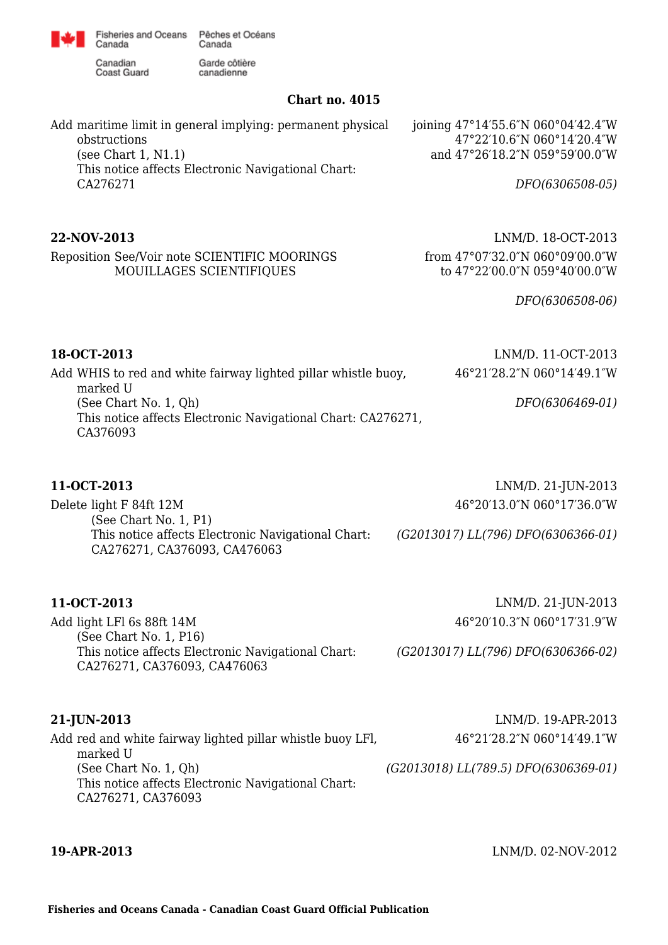

Canadian Coast Guard

Canada

Garde côtière canadienne

## **Chart no. 4015**

| Add maritime limit in general implying: permanent physical | joining $47^{\circ}14'55.6''N 060^{\circ}04'42.4''W$ |
|------------------------------------------------------------|------------------------------------------------------|
| obstructions                                               | 47°22'10.6"N 060°14'20.4"W                           |
| (see Chart $1, N1.1$ )                                     | and 47°26'18.2"N 059°59'00.0"W                       |
| This notice affects Electronic Navigational Chart:         |                                                      |
| CA276271                                                   | DFO(6306508-05)                                      |
|                                                            |                                                      |

Reposition See/Voir note SCIENTIFIC MOORINGS MOUILLAGES SCIENTIFIQUES

**22-NOV-2013** LNM/D. 18-OCT-2013 from 47°07′32.0″N 060°09′00.0″W to 47°22′00.0″N 059°40′00.0″W

*DFO(6306508-06)*

**18-OCT-2013** LNM/D. 11-OCT-2013

| 18-OCT-2013 |  |
|-------------|--|
|             |  |

Add WHIS to red and white fairway lighted pillar whistle buoy, marked U (See Chart No. 1, Qh) This notice affects Electronic Navigational Chart: CA276271, CA376093 46°21′28.2″N 060°14′49.1″W *DFO(6306469-01)*

# **11-OCT-2013** LNM/D. 21-JUN-2013

Delete light F 84ft 12M (See Chart No. 1, P1) This notice affects Electronic Navigational Chart: CA276271, CA376093, CA476063 46°20′13.0″N 060°17′36.0″W *(G2013017) LL(796) DFO(6306366-01)*

Add light LFl 6s 88ft 14M (See Chart No. 1, P16) This notice affects Electronic Navigational Chart: CA276271, CA376093, CA476063

**11-OCT-2013** LNM/D. 21-JUN-2013 46°20′10.3″N 060°17′31.9″W

*(G2013017) LL(796) DFO(6306366-02)*

Add red and white fairway lighted pillar whistle buoy LFl, marked U (See Chart No. 1, Qh) This notice affects Electronic Navigational Chart: CA276271, CA376093

**21-JUN-2013** LNM/D. 19-APR-2013 46°21′28.2″N 060°14′49.1″W

*(G2013018) LL(789.5) DFO(6306369-01)*

**19-APR-2013** LNM/D. 02-NOV-2012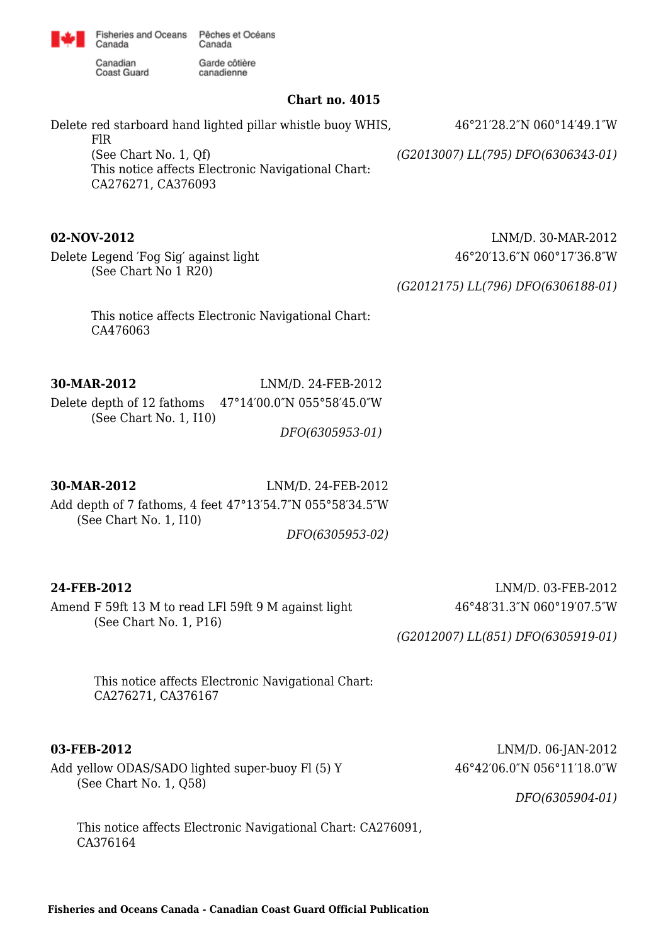

Canadian Coast Guard

Canada

Garde côtière canadienne

### **Chart no. 4015**

Delete red starboard hand lighted pillar whistle buoy WHIS, FlR (See Chart No. 1, Qf) This notice affects Electronic Navigational Chart: CA276271, CA376093 46°21′28.2″N 060°14′49.1″W *(G2013007) LL(795) DFO(6306343-01)*

Delete Legend ′Fog Sig′ against light (See Chart No 1 R20)

**02-NOV-2012** LNM/D. 30-MAR-2012 46°20′13.6″N 060°17′36.8″W

*(G2012175) LL(796) DFO(6306188-01)*

This notice affects Electronic Navigational Chart: CA476063

**30-MAR-2012** LNM/D. 24-FEB-2012 Delete depth of 12 fathoms 47°14′00.0″N 055°58′45.0″W (See Chart No. 1, I10)

*DFO(6305953-01)*

## **30-MAR-2012** LNM/D. 24-FEB-2012

Add depth of 7 fathoms, 4 feet 47°13′54.7″N 055°58′34.5″W (See Chart No. 1, I10)

*DFO(6305953-02)*

Amend F 59ft 13 M to read LFl 59ft 9 M against light (See Chart No. 1, P16)

**24-FEB-2012** LNM/D. 03-FEB-2012 46°48′31.3″N 060°19′07.5″W

*(G2012007) LL(851) DFO(6305919-01)*

This notice affects Electronic Navigational Chart: CA276271, CA376167

Add yellow ODAS/SADO lighted super-buoy Fl (5) Y (See Chart No. 1, Q58)

This notice affects Electronic Navigational Chart: CA276091, CA376164

**03-FEB-2012** LNM/D. 06-JAN-2012 46°42′06.0″N 056°11′18.0″W

*DFO(6305904-01)*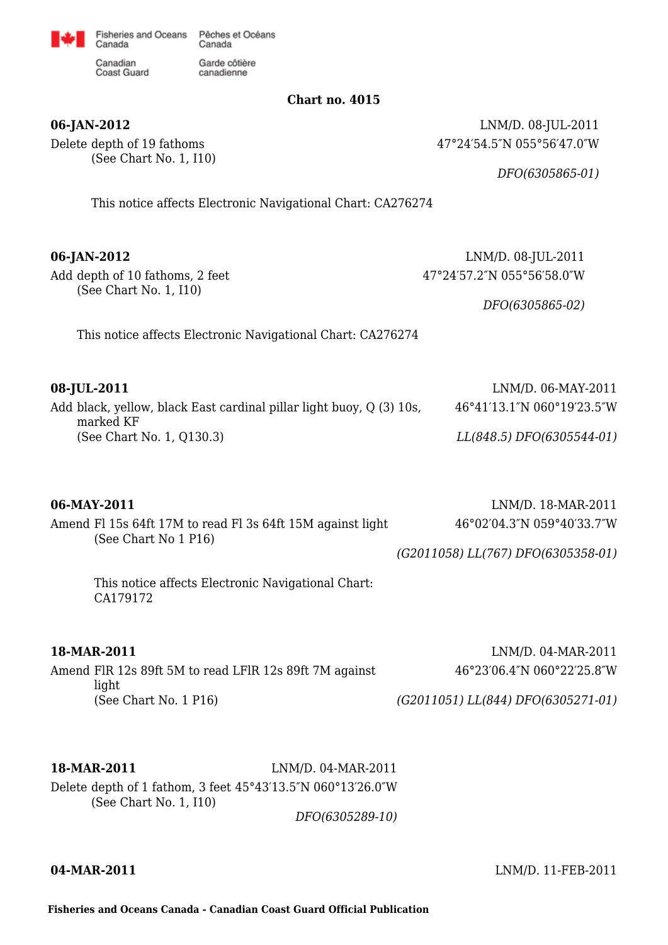

canadienne

Canadian **Coast Guard** 

Canada

**Chart no. 4015**

Delete depth of 19 fathoms (See Chart No. 1, I10)

**06-JAN-2012** LNM/D. 08-JUL-2011 47°24′54.5″N 055°56′47.0″W

*DFO(6305865-01)*

This notice affects Electronic Navigational Chart: CA276274

**06-JAN-2012** LNM/D. 08-JUL-2011

Add depth of 10 fathoms, 2 feet (See Chart No. 1, I10)

47°24′57.2″N 055°56′58.0″W

*DFO(6305865-02)*

This notice affects Electronic Navigational Chart: CA276274

| 08-JUL-2011                                                                       | LNM/D. 06-MAY-2011         |
|-----------------------------------------------------------------------------------|----------------------------|
| Add black, yellow, black East cardinal pillar light buoy, Q (3) 10s,<br>marked KF | 46°41'13.1"N 060°19'23.5"W |
| (See Chart No. 1, Q130.3)                                                         | LL(848.5) DFO(6305544-01)  |

| 06-MAY-2011                                                                        | $LNM/D.$ 18-MAR-2011               |
|------------------------------------------------------------------------------------|------------------------------------|
| Amend Fl 15s 64ft 17M to read Fl 3s 64ft 15M against light<br>(See Chart No 1 P16) | 46°02′04.3″N 059°40′33.7″W         |
|                                                                                    | (G2011058) LL(767) DFO(6305358-01) |
| This notice affects Electronic Navigational Chart:<br>CA179172                     |                                    |

## **18-MAR-2011** LNM/D. 04-MAR-2011

Amend FlR 12s 89ft 5M to read LFlR 12s 89ft 7M against light (See Chart No. 1 P16)

46°23′06.4″N 060°22′25.8″W

*(G2011051) LL(844) DFO(6305271-01)*

**18-MAR-2011** LNM/D. 04-MAR-2011

Delete depth of 1 fathom, 3 feet 45°43′13.5″N 060°13′26.0″W (See Chart No. 1, I10)

*DFO(6305289-10)*

**04-MAR-2011** LNM/D. 11-FEB-2011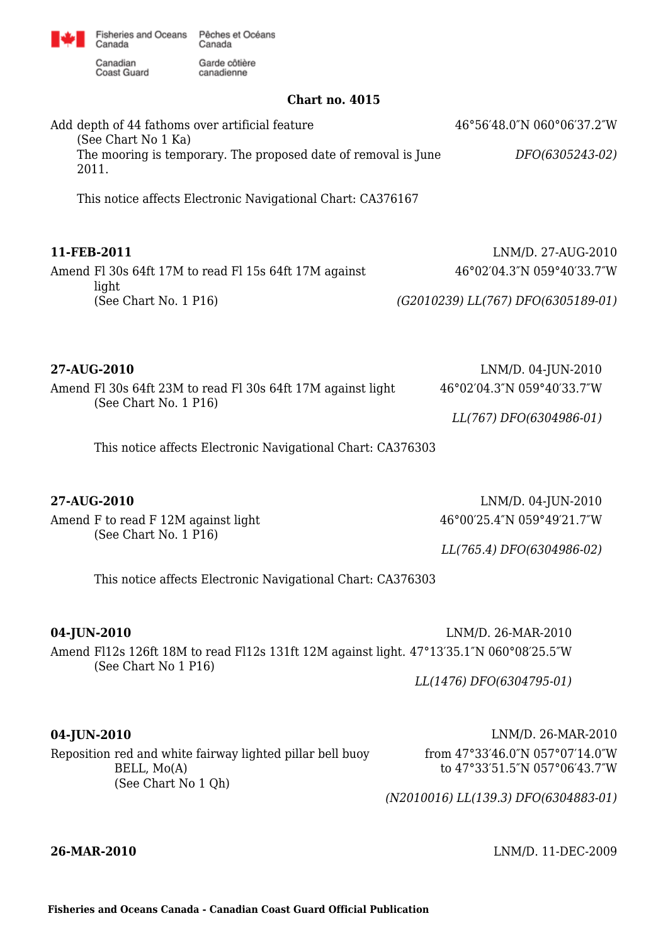

canadienne

Canadian Coast Guard

Canada

**Chart no. 4015**

Add depth of 44 fathoms over artificial feature (See Chart No 1 Ka) The mooring is temporary. The proposed date of removal is June 2011. This notice affects Electronic Navigational Chart: CA376167 46°56′48.0″N 060°06′37.2″W *DFO(6305243-02)* **11-FEB-2011** LNM/D. 27-AUG-2010 Amend Fl 30s 64ft 17M to read Fl 15s 64ft 17M against light (See Chart No. 1 P16) 46°02′04.3″N 059°40′33.7″W *(G2010239) LL(767) DFO(6305189-01)* **27-AUG-2010** LNM/D. 04-JUN-2010 Amend Fl 30s 64ft 23M to read Fl 30s 64ft 17M against light (See Chart No. 1 P16) 46°02′04.3″N 059°40′33.7″W *LL(767) DFO(6304986-01)*

This notice affects Electronic Navigational Chart: CA376303

Amend F to read F 12M against light (See Chart No. 1 P16)

**27-AUG-2010** LNM/D. 04-JUN-2010 46°00′25.4″N 059°49′21.7″W

*LL(765.4) DFO(6304986-02)*

This notice affects Electronic Navigational Chart: CA376303

**04-JUN-2010** LNM/D. 26-MAR-2010 Amend Fl12s 126ft 18M to read Fl12s 131ft 12M against light. 47°13′35.1″N 060°08′25.5″W (See Chart No 1 P16)

*LL(1476) DFO(6304795-01)*

Reposition red and white fairway lighted pillar bell buoy BELL, Mo(A) (See Chart No 1 Qh)

**04-JUN-2010** LNM/D. 26-MAR-2010 from 47°33′46.0″N 057°07′14.0″W to 47°33′51.5″N 057°06′43.7″W

*(N2010016) LL(139.3) DFO(6304883-01)*

**26-MAR-2010** LNM/D. 11-DEC-2009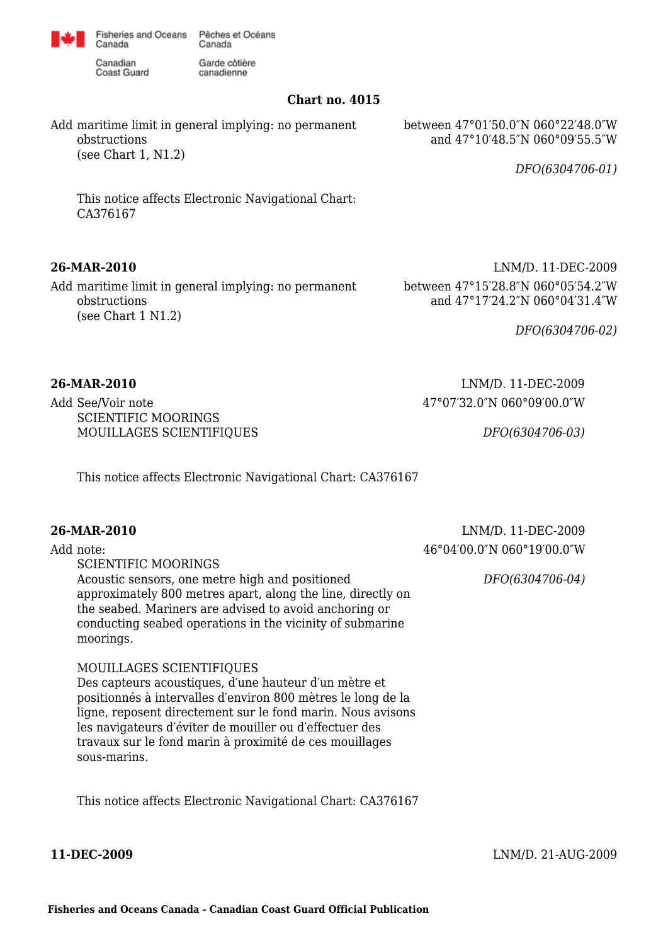

canadienne

Canadian **Coast Guard** 

Canada

**Chart no. 4015**

Add maritime limit in general implying: no permanent obstructions (see Chart 1, N1.2)

between 47°01′50.0″N 060°22′48.0″W and 47°10′48.5″N 060°09′55.5″W

*DFO(6304706-01)*

This notice affects Electronic Navigational Chart: CA376167

Add maritime limit in general implying: no permanent obstructions (see Chart 1 N1.2)

**26-MAR-2010** LNM/D. 11-DEC-2009 between 47°15′28.8″N 060°05′54.2″W and 47°17′24.2″N 060°04′31.4″W

*DFO(6304706-02)*

**26-MAR-2010** LNM/D. 11-DEC-2009 47°07′32.0″N 060°09′00.0″W

*DFO(6304706-03)*

Add See/Voir note SCIENTIFIC MOORINGS MOUILLAGES SCIENTIFIQUES

This notice affects Electronic Navigational Chart: CA376167

### **26-MAR-2010** LNM/D. 11-DEC-2009

Add note: SCIENTIFIC MOORINGS Acoustic sensors, one metre high and positioned approximately 800 metres apart, along the line, directly on the seabed. Mariners are advised to avoid anchoring or conducting seabed operations in the vicinity of submarine moorings. 46°04′00.0″N 060°19′00.0″W *DFO(6304706-04)*

### MOUILLAGES SCIENTIFIQUES

Des capteurs acoustiques, d′une hauteur d′un mètre et positionnés à intervalles d′environ 800 mètres le long de la ligne, reposent directement sur le fond marin. Nous avisons les navigateurs d′éviter de mouiller ou d′effectuer des travaux sur le fond marin à proximité de ces mouillages sous-marins.

This notice affects Electronic Navigational Chart: CA376167

**11-DEC-2009** LNM/D. 21-AUG-2009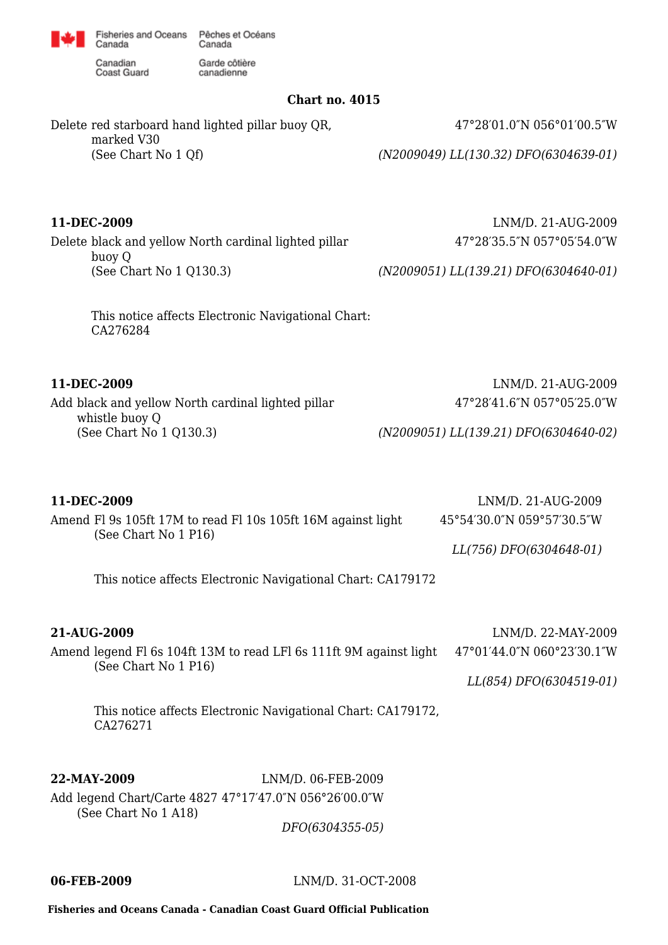

Garde côtière

canadienne

Canadian **Coast Guard** 

Canada

**Chart no. 4015**

Delete red starboard hand lighted pillar buoy QR, marked V30 (See Chart No 1 Qf)

Delete black and yellow North cardinal lighted pillar buoy Q (See Chart No 1 Q130.3)

> This notice affects Electronic Navigational Chart: CA276284

Add black and yellow North cardinal lighted pillar whistle buoy Q (See Chart No 1 Q130.3)

**11-DEC-2009** LNM/D. 21-AUG-2009 47°28′41.6″N 057°05′25.0″W

*(N2009051) LL(139.21) DFO(6304640-02)*

| 11-DEC-2009                                                                          | LNM/D. 21-AUG-2009         |
|--------------------------------------------------------------------------------------|----------------------------|
| Amend Fl 9s 105ft 17M to read Fl 10s 105ft 16M against light<br>(See Chart No 1 P16) | 45°54′30.0″N 059°57′30.5″W |
|                                                                                      | LL(756) DFO(6304648-01)    |

This notice affects Electronic Navigational Chart: CA179172

**21-AUG-2009** LNM/D. 22-MAY-2009

Amend legend Fl 6s 104ft 13M to read LFl 6s 111ft 9M against light (See Chart No 1 P16)

47°01′44.0″N 060°23′30.1″W

*LL(854) DFO(6304519-01)*

This notice affects Electronic Navigational Chart: CA179172, CA276271

**22-MAY-2009** LNM/D. 06-FEB-2009 Add legend Chart/Carte 4827 47°17′47.0″N 056°26′00.0″W (See Chart No 1 A18)

*DFO(6304355-05)*

**06-FEB-2009** LNM/D. 31-OCT-2008

**Fisheries and Oceans Canada - Canadian Coast Guard Official Publication**

47°28′01.0″N 056°01′00.5″W

*(N2009049) LL(130.32) DFO(6304639-01)*

**11-DEC-2009** LNM/D. 21-AUG-2009 47°28′35.5″N 057°05′54.0″W

*(N2009051) LL(139.21) DFO(6304640-01)*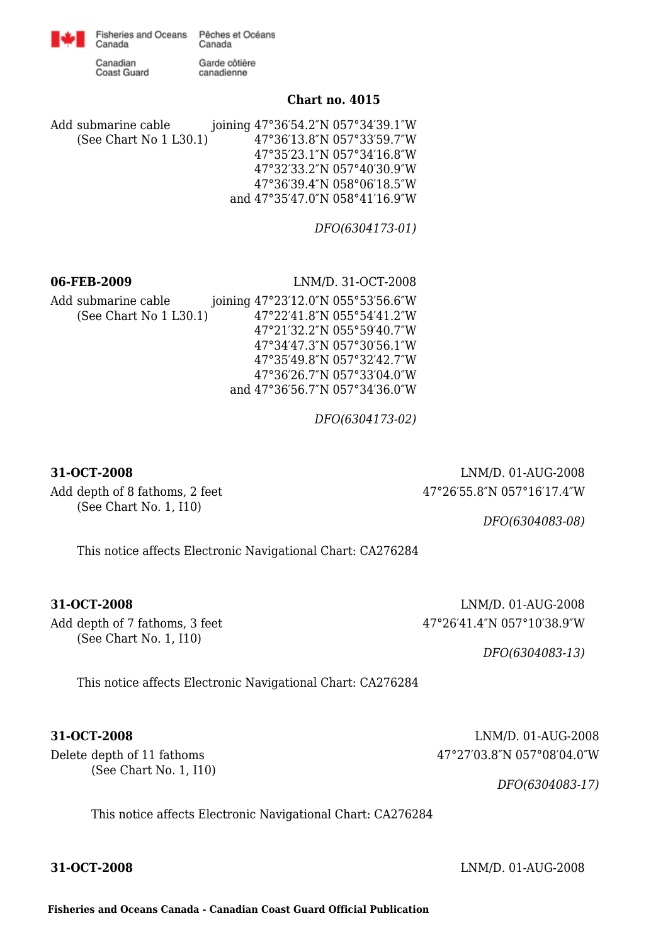

Canadian Coast Guard

Canada

Garde côtière canadienne

### **Chart no. 4015**

Add submarine cable (See Chart No 1 L30.1) joining 47°36′54.2″N 057°34′39.1″W 47°36′13.8″N 057°33′59.7″W 47°35′23.1″N 057°34′16.8″W 47°32′33.2″N 057°40′30.9″W 47°36′39.4″N 058°06′18.5″W and 47°35′47.0″N 058°41′16.9″W

*DFO(6304173-01)*

**06-FEB-2009** LNM/D. 31-OCT-2008

Add submarine cable (See Chart No 1 L30.1) joining 47°23′12.0″N 055°53′56.6″W 47°22′41.8″N 055°54′41.2″W 47°21′32.2″N 055°59′40.7″W 47°34′47.3″N 057°30′56.1″W 47°35′49.8″N 057°32′42.7″W 47°36′26.7″N 057°33′04.0″W and 47°36′56.7″N 057°34′36.0″W

*DFO(6304173-02)*

Add depth of 8 fathoms, 2 feet (See Chart No. 1, I10)

**31-OCT-2008** LNM/D. 01-AUG-2008 47°26′55.8″N 057°16′17.4″W

*DFO(6304083-08)*

This notice affects Electronic Navigational Chart: CA276284

Add depth of 7 fathoms, 3 feet (See Chart No. 1, I10)

**31-OCT-2008** LNM/D. 01-AUG-2008 47°26′41.4″N 057°10′38.9″W

*DFO(6304083-13)*

This notice affects Electronic Navigational Chart: CA276284

Delete depth of 11 fathoms (See Chart No. 1, I10)

**31-OCT-2008** LNM/D. 01-AUG-2008 47°27′03.8″N 057°08′04.0″W

*DFO(6304083-17)*

This notice affects Electronic Navigational Chart: CA276284

**31-OCT-2008** LNM/D. 01-AUG-2008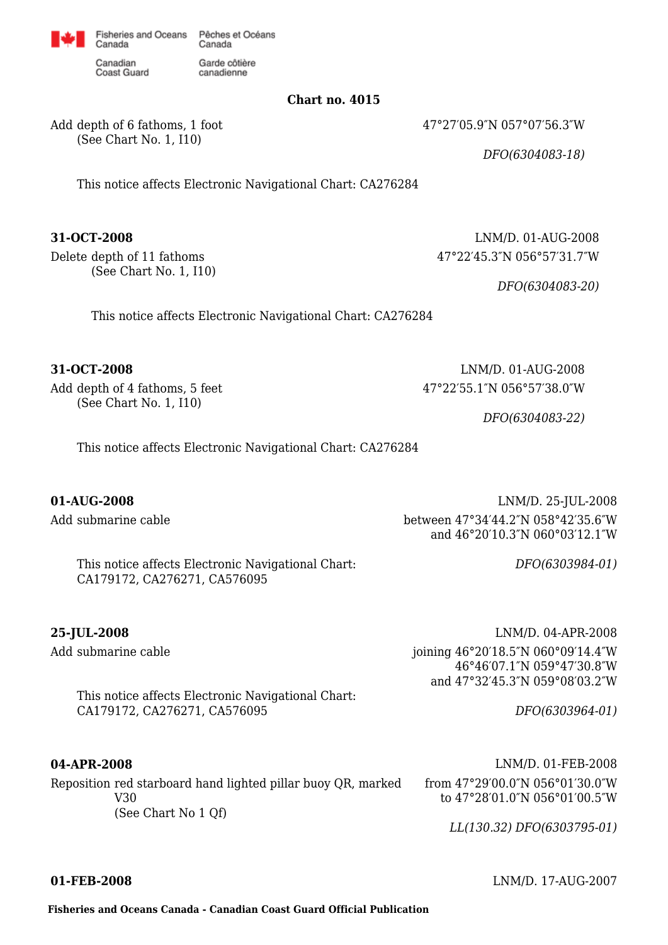

Garde côtière

canadienne

Canadian Coast Guard

Canada

Add depth of 6 fathoms, 1 foot (See Chart No. 1, I10)

**Chart no. 4015**

47°27′05.9″N 057°07′56.3″W

*DFO(6304083-18)*

This notice affects Electronic Navigational Chart: CA276284

Delete depth of 11 fathoms (See Chart No. 1, I10)

**31-OCT-2008** LNM/D. 01-AUG-2008 47°22′45.3″N 056°57′31.7″W

*DFO(6304083-20)*

This notice affects Electronic Navigational Chart: CA276284

Add depth of 4 fathoms, 5 feet (See Chart No. 1, I10)

**31-OCT-2008** LNM/D. 01-AUG-2008 47°22′55.1″N 056°57′38.0″W

*DFO(6304083-22)*

*DFO(6303984-01)*

*DFO(6303964-01)*

This notice affects Electronic Navigational Chart: CA276284

Add submarine cable

**01-AUG-2008** LNM/D. 25-JUL-2008 between 47°34′44.2″N 058°42′35.6″W and 46°20′10.3″N 060°03′12.1″W

This notice affects Electronic Navigational Chart: CA179172, CA276271, CA576095

Add submarine cable

**25-JUL-2008** LNM/D. 04-APR-2008 joining 46°20′18.5″N 060°09′14.4″W 46°46′07.1″N 059°47′30.8″W and 47°32′45.3″N 059°08′03.2″W

This notice affects Electronic Navigational Chart: CA179172, CA276271, CA576095

Reposition red starboard hand lighted pillar buoy QR, marked V30 (See Chart No 1 Qf)

**04-APR-2008** LNM/D. 01-FEB-2008 from 47°29′00.0″N 056°01′30.0″W to 47°28′01.0″N 056°01′00.5″W

*LL(130.32) DFO(6303795-01)*

**01-FEB-2008** LNM/D. 17-AUG-2007

**Fisheries and Oceans Canada - Canadian Coast Guard Official Publication**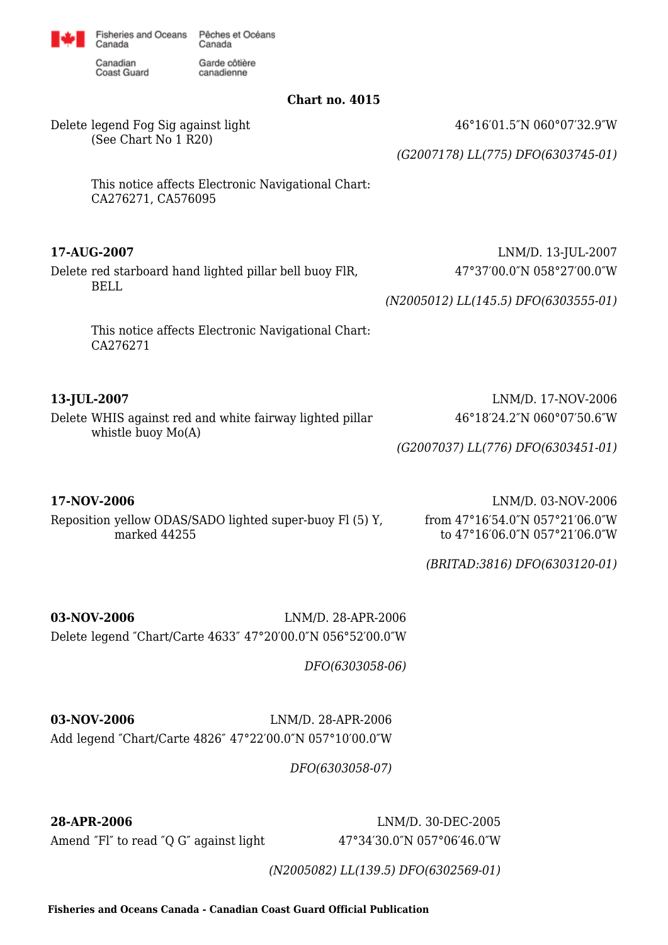

Garde côtière

canadienne

Canadian **Coast Guard** 

Canada

**Chart no. 4015**

Delete legend Fog Sig against light (See Chart No 1 R20)

46°16′01.5″N 060°07′32.9″W

*(G2007178) LL(775) DFO(6303745-01)*

This notice affects Electronic Navigational Chart: CA276271, CA576095

Delete red starboard hand lighted pillar bell buoy FlR, BELL

**17-AUG-2007** LNM/D. 13-JUL-2007 47°37′00.0″N 058°27′00.0″W

*(N2005012) LL(145.5) DFO(6303555-01)*

This notice affects Electronic Navigational Chart: CA276271

Delete WHIS against red and white fairway lighted pillar whistle buoy Mo(A)

**17-NOV-2006** LNM/D. 03-NOV-2006 Reposition yellow ODAS/SADO lighted super-buoy Fl (5) Y, marked 44255

**13-JUL-2007** LNM/D. 17-NOV-2006 46°18′24.2″N 060°07′50.6″W

*(G2007037) LL(776) DFO(6303451-01)*

from 47°16′54.0″N 057°21′06.0″W to 47°16′06.0″N 057°21′06.0″W

*(BRITAD:3816) DFO(6303120-01)*

**03-NOV-2006** LNM/D. 28-APR-2006 Delete legend ″Chart/Carte 4633″ 47°20′00.0″N 056°52′00.0″W

*DFO(6303058-06)*

**03-NOV-2006** LNM/D. 28-APR-2006 Add legend ″Chart/Carte 4826″ 47°22′00.0″N 057°10′00.0″W

*DFO(6303058-07)*

Amend "Fl" to read "Q G" against light 47°34'30.0"N 057°06'46.0"W

**28-APR-2006** LNM/D. 30-DEC-2005

*(N2005082) LL(139.5) DFO(6302569-01)*

**Fisheries and Oceans Canada - Canadian Coast Guard Official Publication**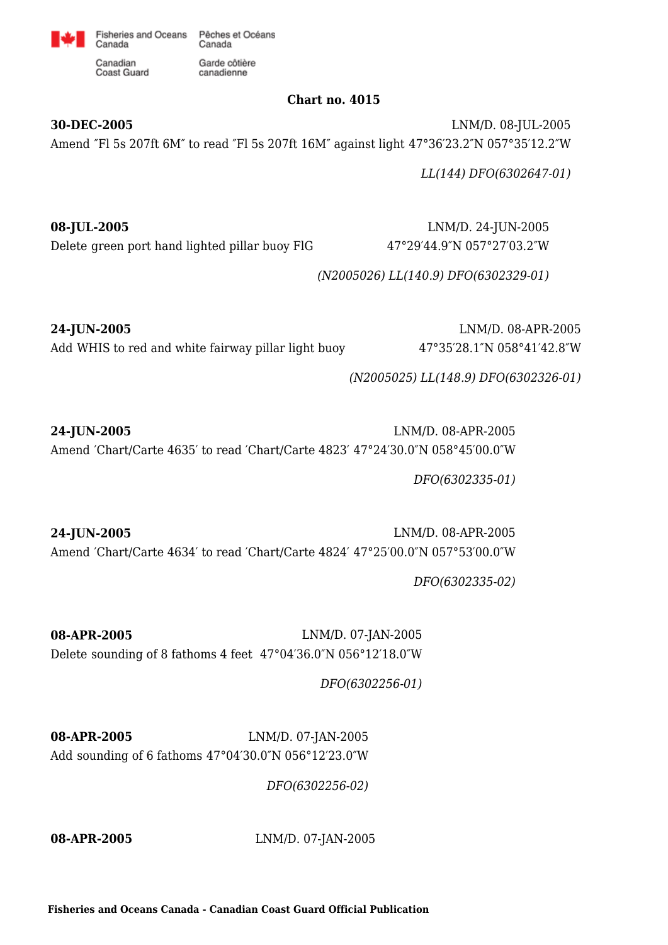

canadienne

Canadian **Coast Guard** 

Canada

## **Chart no. 4015**

**30-DEC-2005** LNM/D. 08-JUL-2005 Amend ″Fl 5s 207ft 6M″ to read ″Fl 5s 207ft 16M″ against light 47°36′23.2″N 057°35′12.2″W

*LL(144) DFO(6302647-01)*

**08-JUL-2005** LNM/D. 24-JUN-2005 Delete green port hand lighted pillar buoy FlG 47°29′44.9″N 057°27′03.2″W

*(N2005026) LL(140.9) DFO(6302329-01)*

Add WHIS to red and white fairway pillar light buoy 47°35′28.1″N 058°41′42.8″W

**24-JUN-2005** LNM/D. 08-APR-2005

*(N2005025) LL(148.9) DFO(6302326-01)*

**24-JUN-2005** LNM/D. 08-APR-2005 Amend ′Chart/Carte 4635′ to read ′Chart/Carte 4823′ 47°24′30.0″N 058°45′00.0″W

*DFO(6302335-01)*

**24-JUN-2005** LNM/D. 08-APR-2005 Amend ′Chart/Carte 4634′ to read ′Chart/Carte 4824′ 47°25′00.0″N 057°53′00.0″W

*DFO(6302335-02)*

**08-APR-2005** LNM/D. 07-JAN-2005 Delete sounding of 8 fathoms 4 feet 47°04′36.0″N 056°12′18.0″W

*DFO(6302256-01)*

**08-APR-2005** LNM/D. 07-JAN-2005 Add sounding of 6 fathoms 47°04′30.0″N 056°12′23.0″W

*DFO(6302256-02)*

**08-APR-2005** LNM/D. 07-JAN-2005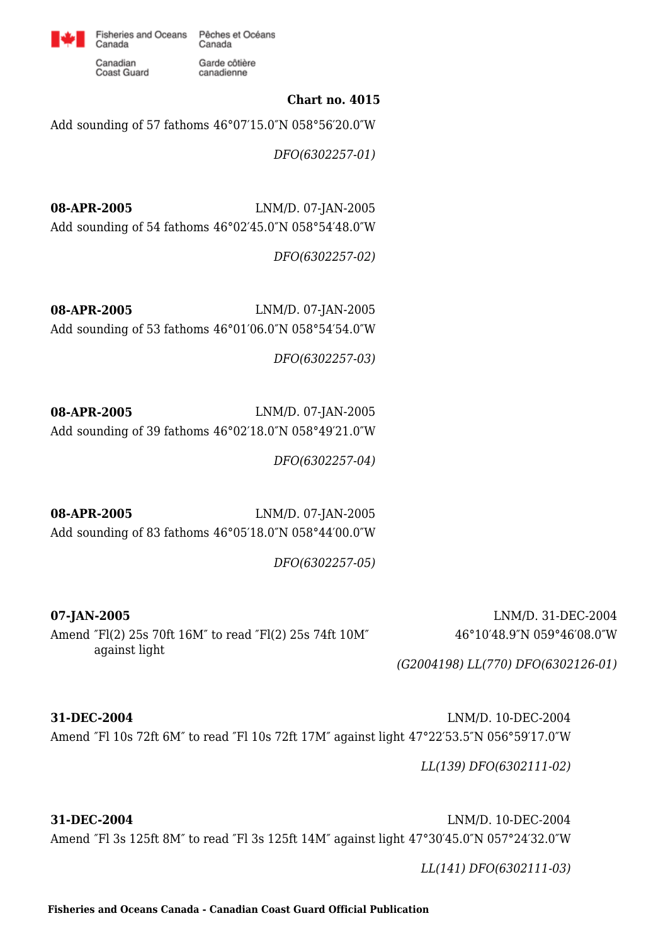

canadienne

Canadian Coast Guard

Canada

## **Chart no. 4015**

Add sounding of 57 fathoms 46°07′15.0″N 058°56′20.0″W

*DFO(6302257-01)*

**08-APR-2005** LNM/D. 07-JAN-2005 Add sounding of 54 fathoms 46°02′45.0″N 058°54′48.0″W

*DFO(6302257-02)*

**08-APR-2005** LNM/D. 07-JAN-2005 Add sounding of 53 fathoms 46°01′06.0″N 058°54′54.0″W

*DFO(6302257-03)*

**08-APR-2005** LNM/D. 07-JAN-2005 Add sounding of 39 fathoms 46°02′18.0″N 058°49′21.0″W

*DFO(6302257-04)*

**08-APR-2005** LNM/D. 07-JAN-2005 Add sounding of 83 fathoms 46°05′18.0″N 058°44′00.0″W

*DFO(6302257-05)*

**07-JAN-2005** LNM/D. 31-DEC-2004 Amend ″Fl(2) 25s 70ft 16M″ to read ″Fl(2) 25s 74ft 10M″ against light

46°10′48.9″N 059°46′08.0″W

*(G2004198) LL(770) DFO(6302126-01)*

**31-DEC-2004** LNM/D. 10-DEC-2004 Amend ″Fl 10s 72ft 6M″ to read ″Fl 10s 72ft 17M″ against light 47°22′53.5″N 056°59′17.0″W

*LL(139) DFO(6302111-02)*

**31-DEC-2004** LNM/D. 10-DEC-2004 Amend ″Fl 3s 125ft 8M″ to read ″Fl 3s 125ft 14M″ against light 47°30′45.0″N 057°24′32.0″W

*LL(141) DFO(6302111-03)*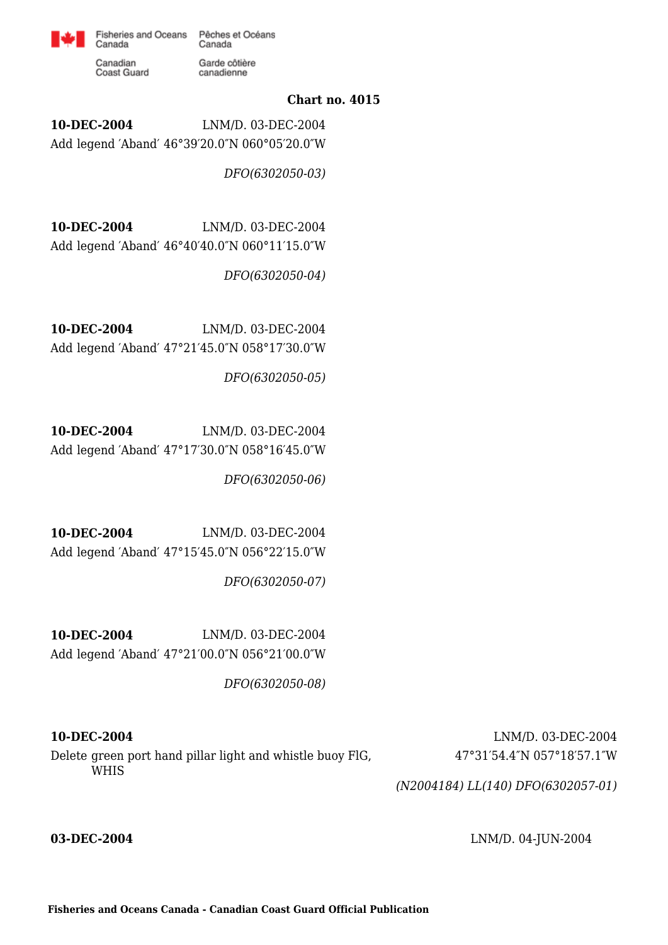

Fisheries and Oceans Pêches et Océans Canada Garde côtière

canadienne

Canadian Coast Guard

Canada

## **Chart no. 4015**

**10-DEC-2004** LNM/D. 03-DEC-2004 Add legend ′Aband′ 46°39′20.0″N 060°05′20.0″W

*DFO(6302050-03)*

**10-DEC-2004** LNM/D. 03-DEC-2004 Add legend ′Aband′ 46°40′40.0″N 060°11′15.0″W

*DFO(6302050-04)*

**10-DEC-2004** LNM/D. 03-DEC-2004 Add legend ′Aband′ 47°21′45.0″N 058°17′30.0″W

*DFO(6302050-05)*

**10-DEC-2004** LNM/D. 03-DEC-2004 Add legend ′Aband′ 47°17′30.0″N 058°16′45.0″W

*DFO(6302050-06)*

**10-DEC-2004** LNM/D. 03-DEC-2004 Add legend ′Aband′ 47°15′45.0″N 056°22′15.0″W

*DFO(6302050-07)*

**10-DEC-2004** LNM/D. 03-DEC-2004 Add legend ′Aband′ 47°21′00.0″N 056°21′00.0″W

*DFO(6302050-08)*

**10-DEC-2004** LNM/D. 03-DEC-2004 Delete green port hand pillar light and whistle buoy FlG, WHIS

47°31′54.4″N 057°18′57.1″W

*(N2004184) LL(140) DFO(6302057-01)*

**03-DEC-2004** LNM/D. 04-JUN-2004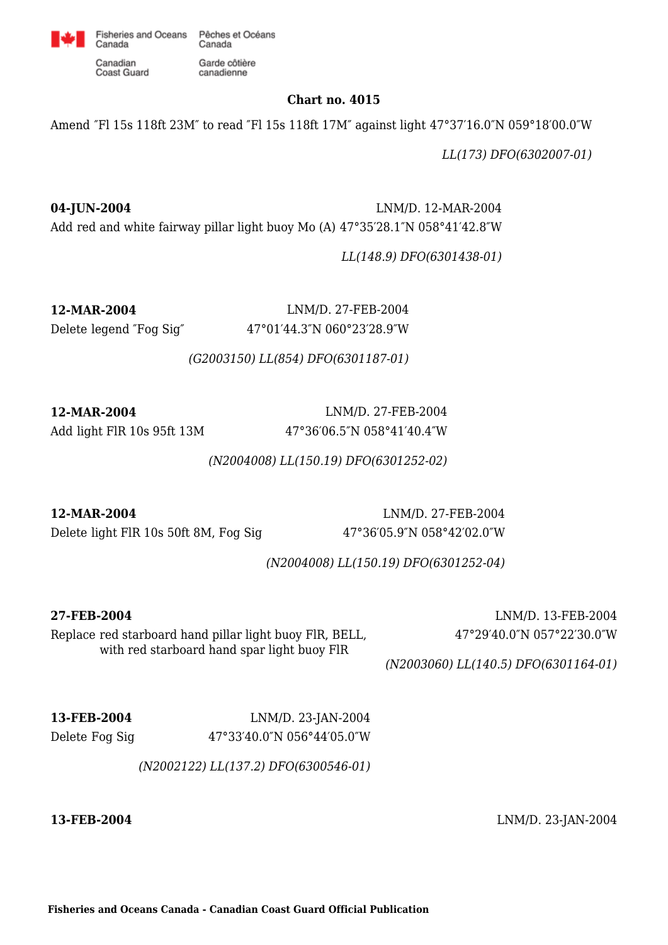

canadienne

Canadian Coast Guard

Canada

## **Chart no. 4015**

Amend ″Fl 15s 118ft 23M″ to read ″Fl 15s 118ft 17M″ against light 47°37′16.0″N 059°18′00.0″W

*LL(173) DFO(6302007-01)*

**04-JUN-2004** LNM/D. 12-MAR-2004 Add red and white fairway pillar light buoy Mo (A) 47°35′28.1″N 058°41′42.8″W

*LL(148.9) DFO(6301438-01)*

**12-MAR-2004** LNM/D. 27-FEB-2004 Delete legend ″Fog Sig″ 47°01′44.3″N 060°23′28.9″W

*(G2003150) LL(854) DFO(6301187-01)*

**12-MAR-2004** LNM/D. 27-FEB-2004

Add light FlR 10s 95ft 13M 47°36′06.5"N 058°41′40.4"W

*(N2004008) LL(150.19) DFO(6301252-02)*

**12-MAR-2004** LNM/D. 27-FEB-2004 Delete light FlR 10s 50ft 8M, Fog Sig 47°36′05.9″N 058°42′02.0″W

*(N2004008) LL(150.19) DFO(6301252-04)*

**27-FEB-2004** LNM/D. 13-FEB-2004 47°29′40.0″N 057°22′30.0″W

Replace red starboard hand pillar light buoy FlR, BELL, with red starboard hand spar light buoy FlR

*(N2003060) LL(140.5) DFO(6301164-01)*

**13-FEB-2004** LNM/D. 23-JAN-2004 Delete Fog Sig 47°33′40.0″N 056°44′05.0″W

*(N2002122) LL(137.2) DFO(6300546-01)*

**13-FEB-2004** LNM/D. 23-JAN-2004